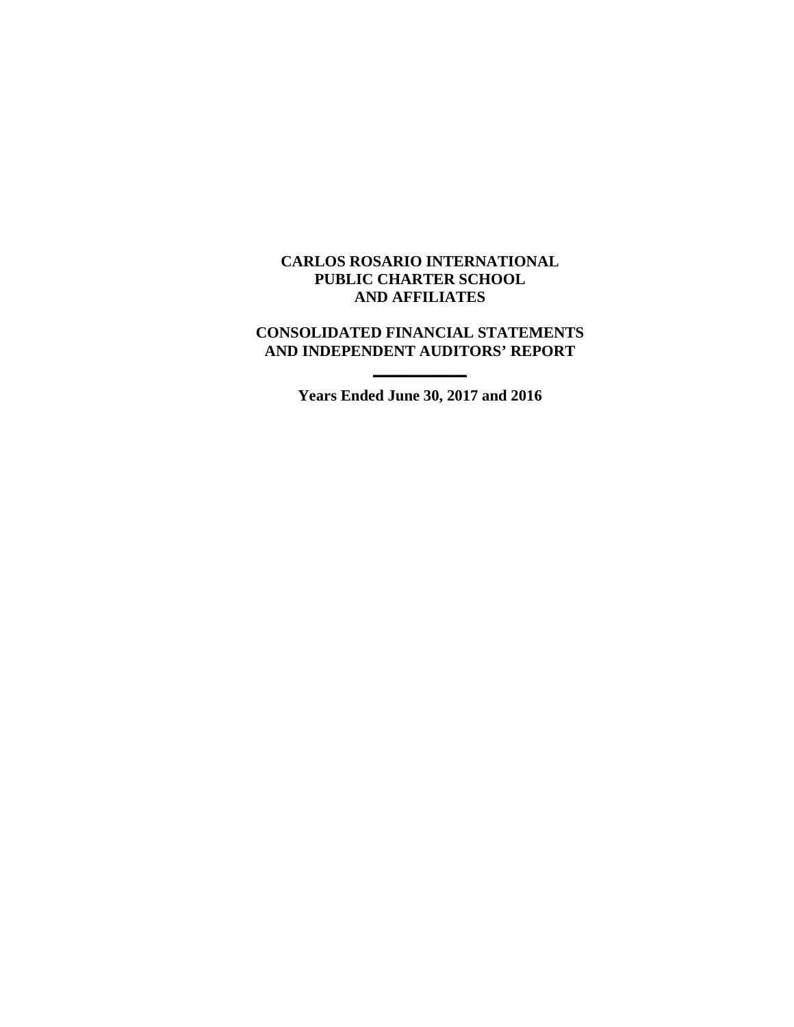## **CARLOS ROSARIO INTERNATIONAL PUBLIC CHARTER SCHOOL AND AFFILIATES**

## **CONSOLIDATED FINANCIAL STATEMENTS AND INDEPENDENT AUDITORS' REPORT**

**Years Ended June 30, 2017 and 2016**

**\_\_\_\_\_\_\_\_\_\_\_\_**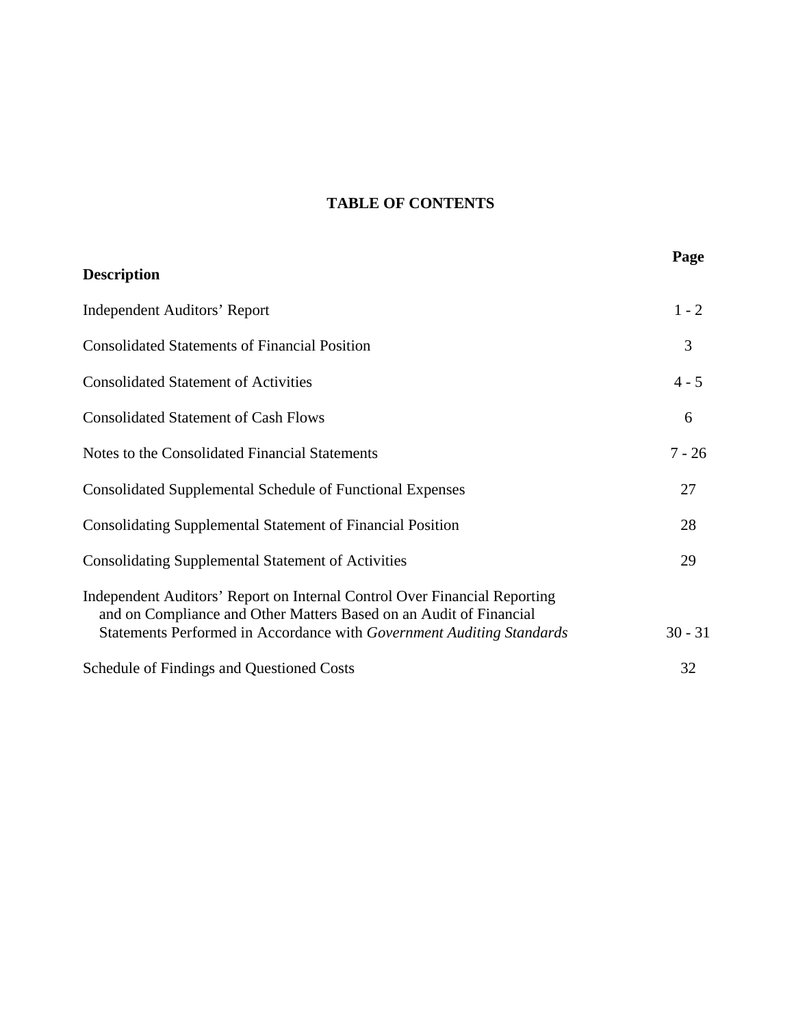# **TABLE OF CONTENTS**

| <b>Description</b>                                                                                                                                                                                                       | Page      |
|--------------------------------------------------------------------------------------------------------------------------------------------------------------------------------------------------------------------------|-----------|
| <b>Independent Auditors' Report</b>                                                                                                                                                                                      | $1 - 2$   |
| <b>Consolidated Statements of Financial Position</b>                                                                                                                                                                     | 3         |
| <b>Consolidated Statement of Activities</b>                                                                                                                                                                              | $4 - 5$   |
| <b>Consolidated Statement of Cash Flows</b>                                                                                                                                                                              | 6         |
| Notes to the Consolidated Financial Statements                                                                                                                                                                           | $7 - 26$  |
| <b>Consolidated Supplemental Schedule of Functional Expenses</b>                                                                                                                                                         | 27        |
| <b>Consolidating Supplemental Statement of Financial Position</b>                                                                                                                                                        | 28        |
| <b>Consolidating Supplemental Statement of Activities</b>                                                                                                                                                                | 29        |
| Independent Auditors' Report on Internal Control Over Financial Reporting<br>and on Compliance and Other Matters Based on an Audit of Financial<br>Statements Performed in Accordance with Government Auditing Standards | $30 - 31$ |
| Schedule of Findings and Questioned Costs                                                                                                                                                                                | 32        |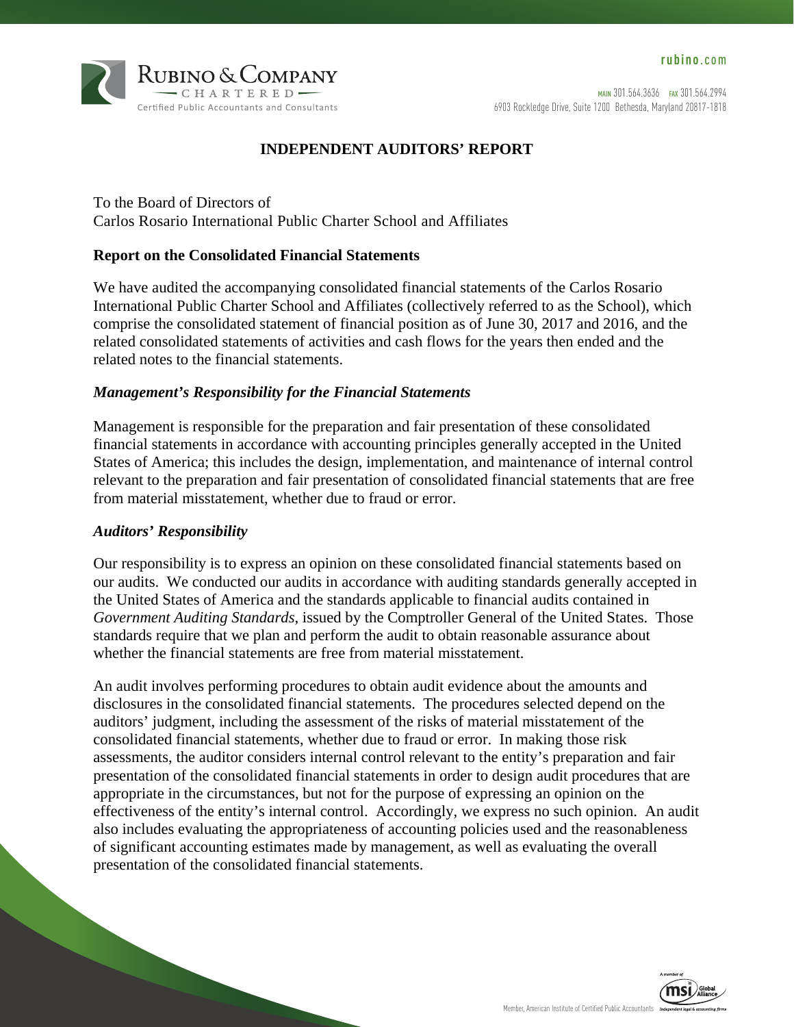

## **INDEPENDENT AUDITORS' REPORT**

To the Board of Directors of Carlos Rosario International Public Charter School and Affiliates

## **Report on the Consolidated Financial Statements**

We have audited the accompanying consolidated financial statements of the Carlos Rosario International Public Charter School and Affiliates (collectively referred to as the School), which comprise the consolidated statement of financial position as of June 30, 2017 and 2016, and the related consolidated statements of activities and cash flows for the years then ended and the related notes to the financial statements.

### *Management's Responsibility for the Financial Statements*

Management is responsible for the preparation and fair presentation of these consolidated financial statements in accordance with accounting principles generally accepted in the United States of America; this includes the design, implementation, and maintenance of internal control relevant to the preparation and fair presentation of consolidated financial statements that are free from material misstatement, whether due to fraud or error.

#### *Auditors' Responsibility*

Our responsibility is to express an opinion on these consolidated financial statements based on our audits. We conducted our audits in accordance with auditing standards generally accepted in the United States of America and the standards applicable to financial audits contained in *Government Auditing Standards*, issued by the Comptroller General of the United States. Those standards require that we plan and perform the audit to obtain reasonable assurance about whether the financial statements are free from material misstatement.

An audit involves performing procedures to obtain audit evidence about the amounts and disclosures in the consolidated financial statements. The procedures selected depend on the auditors' judgment, including the assessment of the risks of material misstatement of the consolidated financial statements, whether due to fraud or error. In making those risk assessments, the auditor considers internal control relevant to the entity's preparation and fair presentation of the consolidated financial statements in order to design audit procedures that are appropriate in the circumstances, but not for the purpose of expressing an opinion on the effectiveness of the entity's internal control. Accordingly, we express no such opinion. An audit also includes evaluating the appropriateness of accounting policies used and the reasonableness of significant accounting estimates made by management, as well as evaluating the overall presentation of the consolidated financial statements.

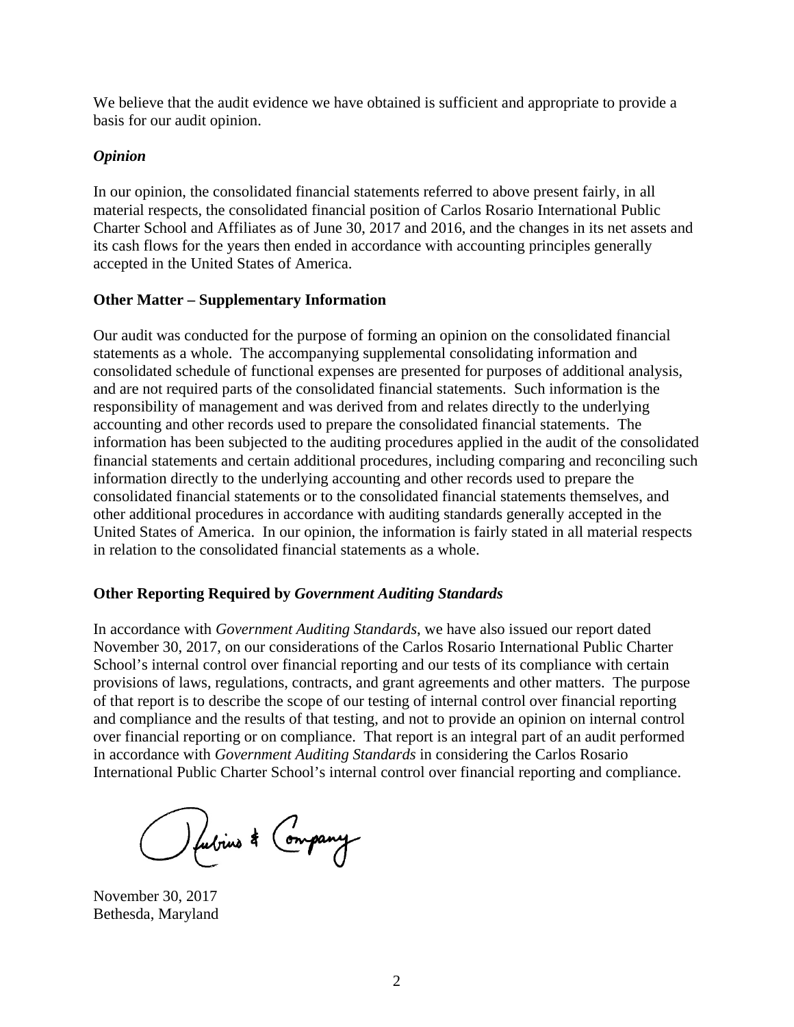We believe that the audit evidence we have obtained is sufficient and appropriate to provide a basis for our audit opinion.

## *Opinion*

In our opinion, the consolidated financial statements referred to above present fairly, in all material respects, the consolidated financial position of Carlos Rosario International Public Charter School and Affiliates as of June 30, 2017 and 2016, and the changes in its net assets and its cash flows for the years then ended in accordance with accounting principles generally accepted in the United States of America.

## **Other Matter – Supplementary Information**

Our audit was conducted for the purpose of forming an opinion on the consolidated financial statements as a whole. The accompanying supplemental consolidating information and consolidated schedule of functional expenses are presented for purposes of additional analysis, and are not required parts of the consolidated financial statements. Such information is the responsibility of management and was derived from and relates directly to the underlying accounting and other records used to prepare the consolidated financial statements. The information has been subjected to the auditing procedures applied in the audit of the consolidated financial statements and certain additional procedures, including comparing and reconciling such information directly to the underlying accounting and other records used to prepare the consolidated financial statements or to the consolidated financial statements themselves, and other additional procedures in accordance with auditing standards generally accepted in the United States of America. In our opinion, the information is fairly stated in all material respects in relation to the consolidated financial statements as a whole.

## **Other Reporting Required by** *Government Auditing Standards*

In accordance with *Government Auditing Standards*, we have also issued our report dated November 30, 2017, on our considerations of the Carlos Rosario International Public Charter School's internal control over financial reporting and our tests of its compliance with certain provisions of laws, regulations, contracts, and grant agreements and other matters. The purpose of that report is to describe the scope of our testing of internal control over financial reporting and compliance and the results of that testing, and not to provide an opinion on internal control over financial reporting or on compliance. That report is an integral part of an audit performed in accordance with *Government Auditing Standards* in considering the Carlos Rosario International Public Charter School's internal control over financial reporting and compliance.

Subino & Company

November 30, 2017 Bethesda, Maryland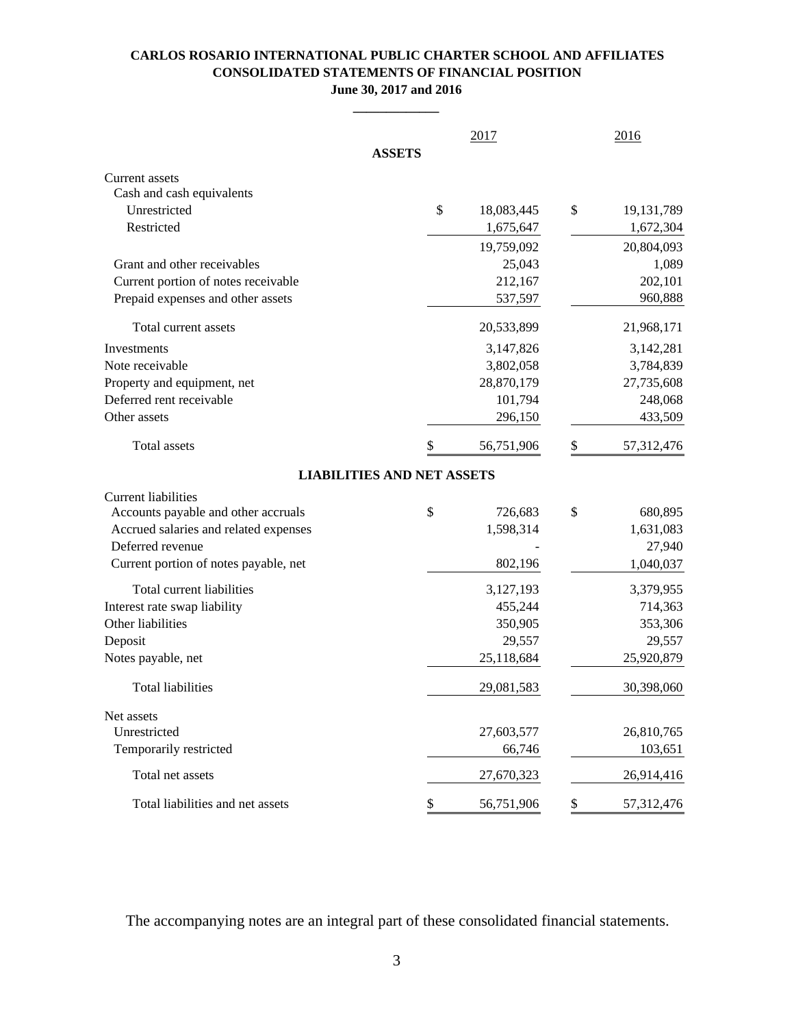## **CARLOS ROSARIO INTERNATIONAL PUBLIC CHARTER SCHOOL AND AFFILIATES CONSOLIDATED STATEMENTS OF FINANCIAL POSITION June 30, 2017 and 2016**

**\_\_\_\_\_\_\_\_\_\_\_\_\_**

|                                       | <b>ASSETS</b>                     | 2017       |    | 2016         |
|---------------------------------------|-----------------------------------|------------|----|--------------|
| Current assets                        |                                   |            |    |              |
| Cash and cash equivalents             |                                   |            |    |              |
| Unrestricted                          | \$                                | 18,083,445 | \$ | 19, 131, 789 |
| Restricted                            |                                   | 1,675,647  |    | 1,672,304    |
|                                       |                                   | 19,759,092 |    | 20,804,093   |
| Grant and other receivables           |                                   | 25,043     |    | 1,089        |
| Current portion of notes receivable   |                                   | 212,167    |    | 202,101      |
| Prepaid expenses and other assets     |                                   | 537,597    |    | 960,888      |
| Total current assets                  |                                   | 20,533,899 |    | 21,968,171   |
| Investments                           |                                   | 3,147,826  |    | 3,142,281    |
| Note receivable                       |                                   | 3,802,058  |    | 3,784,839    |
| Property and equipment, net           |                                   | 28,870,179 |    | 27,735,608   |
| Deferred rent receivable              |                                   | 101,794    |    | 248,068      |
| Other assets                          |                                   | 296,150    |    | 433,509      |
| Total assets                          | \$                                | 56,751,906 | \$ | 57,312,476   |
|                                       | <b>LIABILITIES AND NET ASSETS</b> |            |    |              |
| <b>Current liabilities</b>            |                                   |            |    |              |
| Accounts payable and other accruals   | \$                                | 726,683    | \$ | 680,895      |
| Accrued salaries and related expenses |                                   | 1,598,314  |    | 1,631,083    |
| Deferred revenue                      |                                   |            |    | 27,940       |
| Current portion of notes payable, net |                                   | 802,196    |    | 1,040,037    |
| Total current liabilities             |                                   | 3,127,193  |    | 3,379,955    |
| Interest rate swap liability          |                                   | 455,244    |    | 714,363      |
| Other liabilities                     |                                   | 350,905    |    | 353,306      |
| Deposit                               |                                   | 29,557     |    | 29,557       |
| Notes payable, net                    |                                   | 25,118,684 |    | 25,920,879   |
| <b>Total liabilities</b>              |                                   | 29,081,583 |    | 30,398,060   |
| Net assets                            |                                   |            |    |              |
| Unrestricted                          |                                   | 27,603,577 |    | 26,810,765   |
| Temporarily restricted                |                                   | 66,746     |    | 103,651      |
| Total net assets                      |                                   | 27,670,323 |    | 26,914,416   |
| Total liabilities and net assets      | \$                                | 56,751,906 | \$ | 57,312,476   |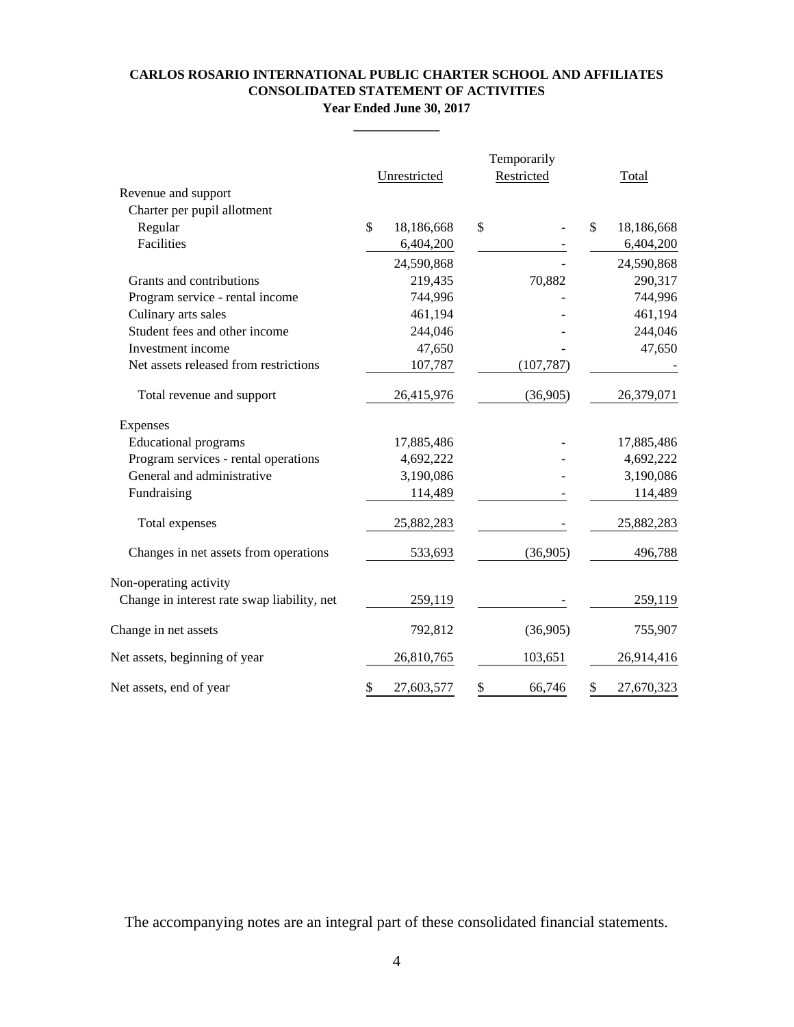### **CARLOS ROSARIO INTERNATIONAL PUBLIC CHARTER SCHOOL AND AFFILIATES CONSOLIDATED STATEMENT OF ACTIVITIES Year Ended June 30, 2017**

**\_\_\_\_\_\_\_\_\_\_\_\_\_**

|                                             |                                         | Temporarily  |                  |
|---------------------------------------------|-----------------------------------------|--------------|------------------|
|                                             | Unrestricted                            | Restricted   | Total            |
| Revenue and support                         |                                         |              |                  |
| Charter per pupil allotment                 |                                         |              |                  |
| Regular                                     | $\boldsymbol{\mathsf{S}}$<br>18,186,668 | \$           | \$<br>18,186,668 |
| Facilities                                  | 6,404,200                               |              | 6,404,200        |
|                                             | 24,590,868                              |              | 24,590,868       |
| Grants and contributions                    | 219,435                                 | 70,882       | 290,317          |
| Program service - rental income             | 744,996                                 |              | 744,996          |
| Culinary arts sales                         | 461,194                                 |              | 461,194          |
| Student fees and other income               | 244,046                                 |              | 244,046          |
| Investment income                           | 47,650                                  |              | 47,650           |
| Net assets released from restrictions       | 107,787                                 | (107, 787)   |                  |
| Total revenue and support                   | 26,415,976                              | (36,905)     | 26,379,071       |
| Expenses                                    |                                         |              |                  |
| <b>Educational programs</b>                 | 17,885,486                              |              | 17,885,486       |
| Program services - rental operations        | 4,692,222                               |              | 4,692,222        |
| General and administrative                  | 3,190,086                               |              | 3,190,086        |
| Fundraising                                 | 114,489                                 |              | 114,489          |
| Total expenses                              | 25,882,283                              |              | 25,882,283       |
| Changes in net assets from operations       | 533,693                                 | (36,905)     | 496,788          |
| Non-operating activity                      |                                         |              |                  |
| Change in interest rate swap liability, net | 259,119                                 |              | 259,119          |
| Change in net assets                        | 792,812                                 | (36,905)     | 755,907          |
| Net assets, beginning of year               | 26,810,765                              | 103,651      | 26,914,416       |
| Net assets, end of year                     | \$<br>27,603,577                        | \$<br>66,746 | \$<br>27,670,323 |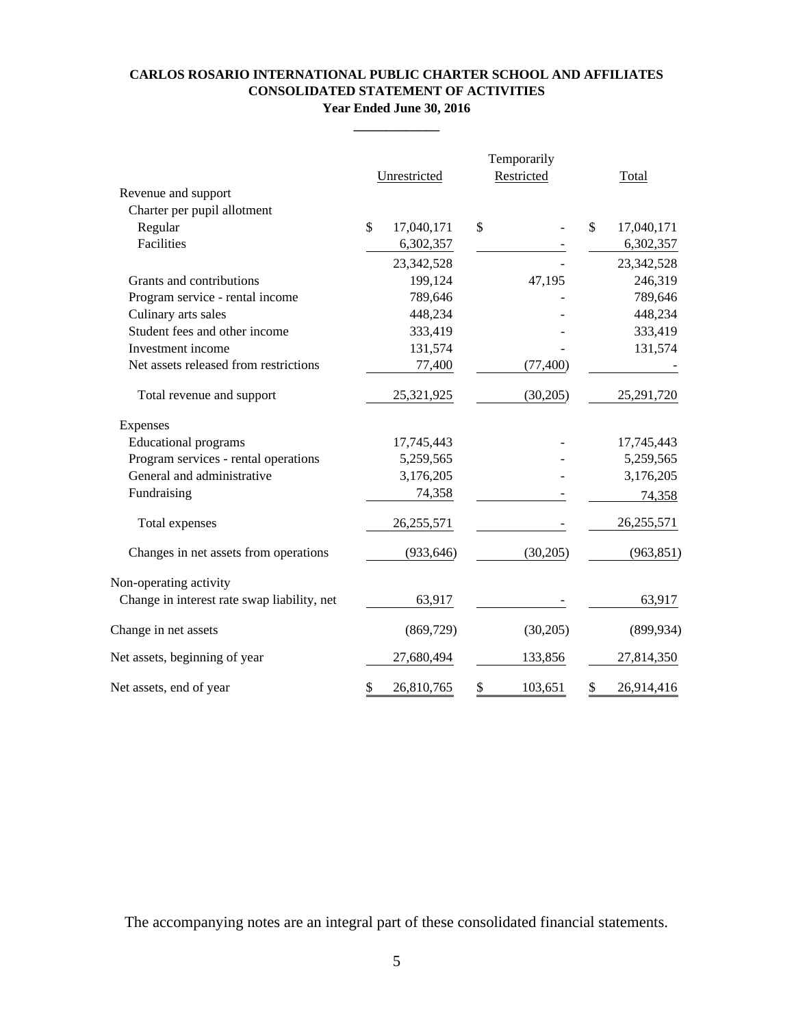### **CARLOS ROSARIO INTERNATIONAL PUBLIC CHARTER SCHOOL AND AFFILIATES CONSOLIDATED STATEMENT OF ACTIVITIES Year Ended June 30, 2016**

**\_\_\_\_\_\_\_\_\_\_\_\_\_**

|                                             |              |              | Temporarily   |                  |
|---------------------------------------------|--------------|--------------|---------------|------------------|
|                                             |              | Unrestricted | Restricted    | Total            |
| Revenue and support                         |              |              |               |                  |
| Charter per pupil allotment                 |              |              |               |                  |
| Regular                                     | $\mathbb{S}$ | 17,040,171   | \$            | \$<br>17,040,171 |
| Facilities                                  |              | 6,302,357    |               | 6,302,357        |
|                                             |              | 23,342,528   |               | 23, 342, 528     |
| Grants and contributions                    |              | 199,124      | 47,195        | 246,319          |
| Program service - rental income             |              | 789,646      |               | 789,646          |
| Culinary arts sales                         |              | 448,234      |               | 448,234          |
| Student fees and other income               |              | 333,419      |               | 333,419          |
| Investment income                           |              | 131,574      |               | 131,574          |
| Net assets released from restrictions       |              | 77,400       | (77, 400)     |                  |
| Total revenue and support                   |              | 25,321,925   | (30,205)      | 25,291,720       |
| Expenses                                    |              |              |               |                  |
| <b>Educational programs</b>                 |              | 17,745,443   |               | 17,745,443       |
| Program services - rental operations        |              | 5,259,565    |               | 5,259,565        |
| General and administrative                  |              | 3,176,205    |               | 3,176,205        |
| Fundraising                                 |              | 74,358       |               | 74,358           |
| Total expenses                              |              | 26,255,571   |               | 26, 255, 571     |
| Changes in net assets from operations       |              | (933, 646)   | (30,205)      | (963, 851)       |
| Non-operating activity                      |              |              |               |                  |
| Change in interest rate swap liability, net |              | 63,917       |               | 63,917           |
| Change in net assets                        |              | (869, 729)   | (30,205)      | (899, 934)       |
| Net assets, beginning of year               |              | 27,680,494   | 133,856       | 27,814,350       |
| Net assets, end of year                     | \$           | 26,810,765   | \$<br>103,651 | \$<br>26,914,416 |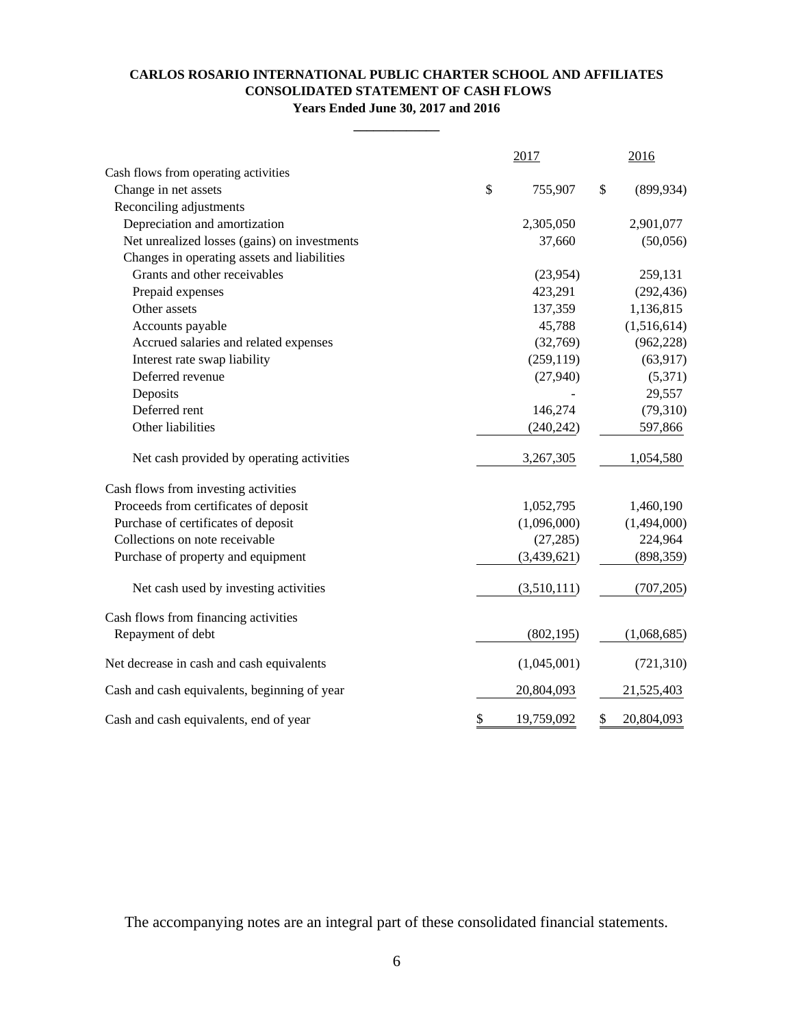### **CONSOLIDATED STATEMENT OF CASH FLOWS Years Ended June 30, 2017 and 2016 CARLOS ROSARIO INTERNATIONAL PUBLIC CHARTER SCHOOL AND AFFILIATES**

**\_\_\_\_\_\_\_\_\_\_\_\_\_**

|                                              |               | 2017        | 2016             |
|----------------------------------------------|---------------|-------------|------------------|
| Cash flows from operating activities         |               |             |                  |
| Change in net assets                         | $\mathsf{\$}$ | 755,907     | \$<br>(899, 934) |
| Reconciling adjustments                      |               |             |                  |
| Depreciation and amortization                |               | 2,305,050   | 2,901,077        |
| Net unrealized losses (gains) on investments |               | 37,660      | (50,056)         |
| Changes in operating assets and liabilities  |               |             |                  |
| Grants and other receivables                 |               | (23,954)    | 259,131          |
| Prepaid expenses                             |               | 423,291     | (292, 436)       |
| Other assets                                 |               | 137,359     | 1,136,815        |
| Accounts payable                             |               | 45,788      | (1,516,614)      |
| Accrued salaries and related expenses        |               | (32,769)    | (962, 228)       |
| Interest rate swap liability                 |               | (259, 119)  | (63, 917)        |
| Deferred revenue                             |               | (27,940)    | (5,371)          |
| Deposits                                     |               |             | 29,557           |
| Deferred rent                                |               | 146,274     | (79,310)         |
| Other liabilities                            |               | (240, 242)  | 597,866          |
| Net cash provided by operating activities    |               | 3,267,305   | 1,054,580        |
| Cash flows from investing activities         |               |             |                  |
| Proceeds from certificates of deposit        |               | 1,052,795   | 1,460,190        |
| Purchase of certificates of deposit          |               | (1,096,000) | (1,494,000)      |
| Collections on note receivable               |               | (27, 285)   | 224,964          |
| Purchase of property and equipment           |               | (3,439,621) | (898, 359)       |
| Net cash used by investing activities        |               | (3,510,111) | (707, 205)       |
| Cash flows from financing activities         |               |             |                  |
| Repayment of debt                            |               | (802, 195)  | (1,068,685)      |
| Net decrease in cash and cash equivalents    |               | (1,045,001) | (721, 310)       |
| Cash and cash equivalents, beginning of year |               | 20,804,093  | 21,525,403       |
| Cash and cash equivalents, end of year       | \$            | 19,759,092  | \$<br>20,804,093 |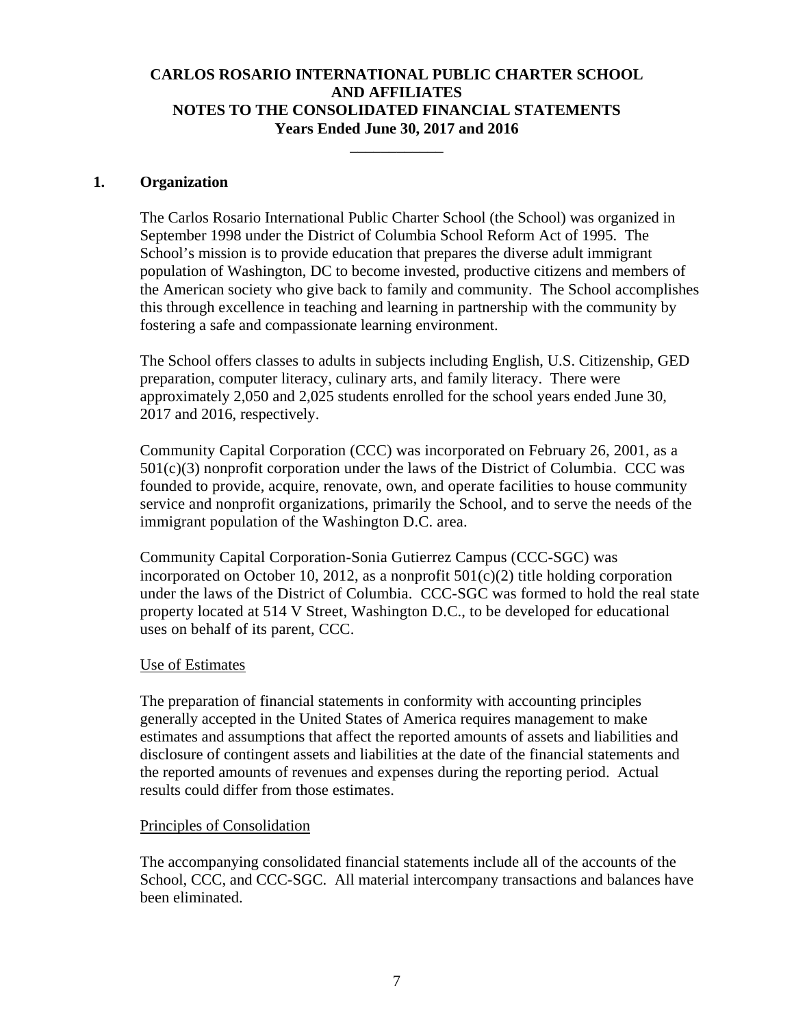\_\_\_\_\_\_\_\_\_\_\_\_

#### **1. Organization**

The Carlos Rosario International Public Charter School (the School) was organized in September 1998 under the District of Columbia School Reform Act of 1995. The School's mission is to provide education that prepares the diverse adult immigrant population of Washington, DC to become invested, productive citizens and members of the American society who give back to family and community. The School accomplishes this through excellence in teaching and learning in partnership with the community by fostering a safe and compassionate learning environment.

The School offers classes to adults in subjects including English, U.S. Citizenship, GED preparation, computer literacy, culinary arts, and family literacy. There were approximately 2,050 and 2,025 students enrolled for the school years ended June 30, 2017 and 2016, respectively.

Community Capital Corporation (CCC) was incorporated on February 26, 2001, as a  $501(c)(3)$  nonprofit corporation under the laws of the District of Columbia. CCC was founded to provide, acquire, renovate, own, and operate facilities to house community service and nonprofit organizations, primarily the School, and to serve the needs of the immigrant population of the Washington D.C. area.

Community Capital Corporation-Sonia Gutierrez Campus (CCC-SGC) was incorporated on October 10, 2012, as a nonprofit  $501(c)(2)$  title holding corporation under the laws of the District of Columbia. CCC-SGC was formed to hold the real state property located at 514 V Street, Washington D.C., to be developed for educational uses on behalf of its parent, CCC.

#### Use of Estimates

The preparation of financial statements in conformity with accounting principles generally accepted in the United States of America requires management to make estimates and assumptions that affect the reported amounts of assets and liabilities and disclosure of contingent assets and liabilities at the date of the financial statements and the reported amounts of revenues and expenses during the reporting period. Actual results could differ from those estimates.

## Principles of Consolidation

The accompanying consolidated financial statements include all of the accounts of the School, CCC, and CCC-SGC. All material intercompany transactions and balances have been eliminated.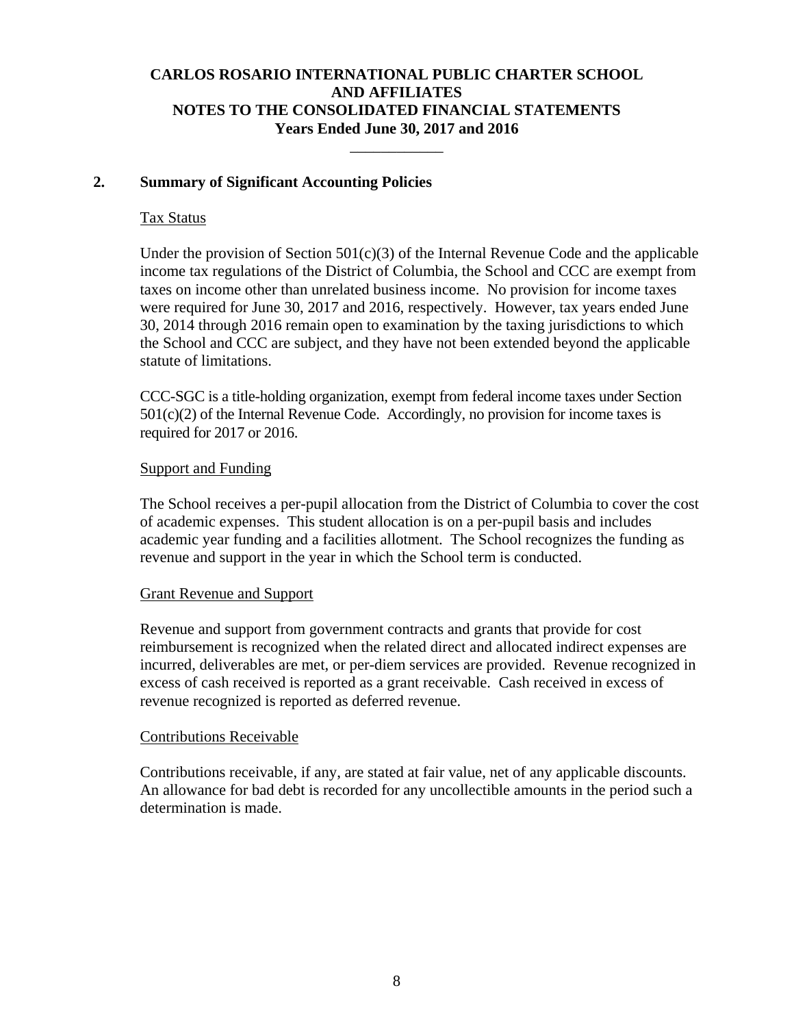\_\_\_\_\_\_\_\_\_\_\_\_

## **2. Summary of Significant Accounting Policies**

#### Tax Status

Under the provision of Section  $501(c)(3)$  of the Internal Revenue Code and the applicable income tax regulations of the District of Columbia, the School and CCC are exempt from taxes on income other than unrelated business income. No provision for income taxes were required for June 30, 2017 and 2016, respectively. However, tax years ended June 30, 2014 through 2016 remain open to examination by the taxing jurisdictions to which the School and CCC are subject, and they have not been extended beyond the applicable statute of limitations.

CCC-SGC is a title-holding organization, exempt from federal income taxes under Section  $501(c)(2)$  of the Internal Revenue Code. Accordingly, no provision for income taxes is required for 2017 or 2016.

### Support and Funding

The School receives a per-pupil allocation from the District of Columbia to cover the cost of academic expenses. This student allocation is on a per-pupil basis and includes academic year funding and a facilities allotment. The School recognizes the funding as revenue and support in the year in which the School term is conducted.

#### Grant Revenue and Support

Revenue and support from government contracts and grants that provide for cost reimbursement is recognized when the related direct and allocated indirect expenses are incurred, deliverables are met, or per-diem services are provided. Revenue recognized in excess of cash received is reported as a grant receivable. Cash received in excess of revenue recognized is reported as deferred revenue.

#### Contributions Receivable

Contributions receivable, if any, are stated at fair value, net of any applicable discounts. An allowance for bad debt is recorded for any uncollectible amounts in the period such a determination is made.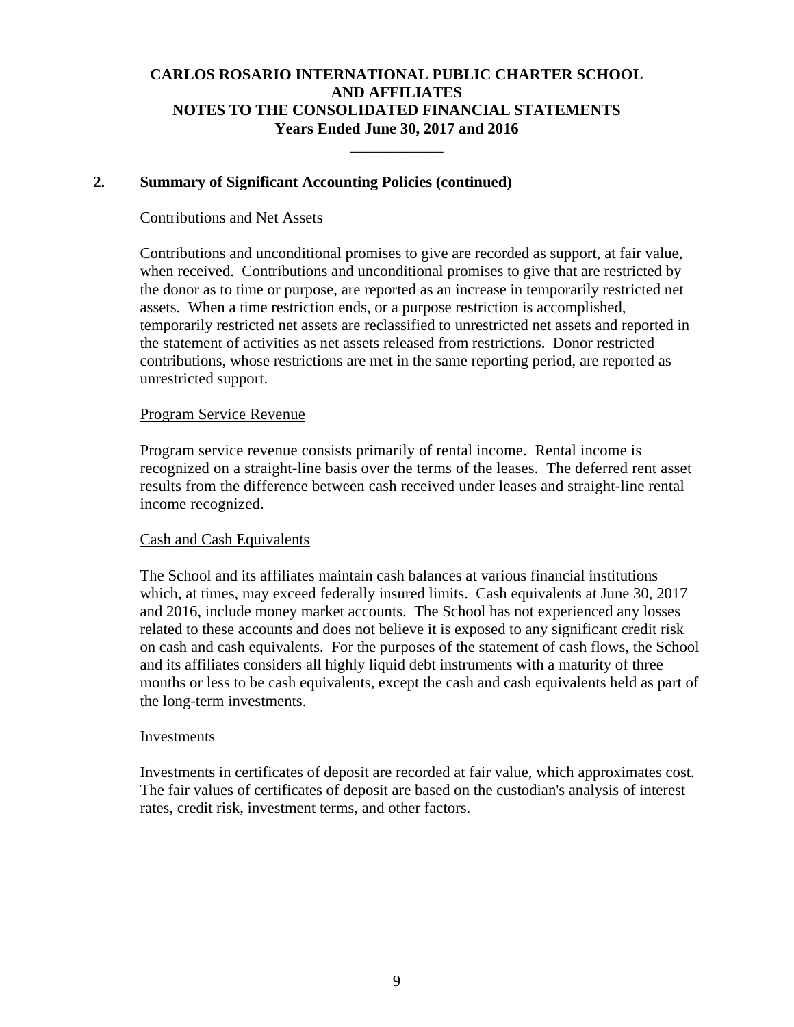\_\_\_\_\_\_\_\_\_\_\_\_

## **2. Summary of Significant Accounting Policies (continued)**

## Contributions and Net Assets

Contributions and unconditional promises to give are recorded as support, at fair value, when received. Contributions and unconditional promises to give that are restricted by the donor as to time or purpose, are reported as an increase in temporarily restricted net assets. When a time restriction ends, or a purpose restriction is accomplished, temporarily restricted net assets are reclassified to unrestricted net assets and reported in the statement of activities as net assets released from restrictions. Donor restricted contributions, whose restrictions are met in the same reporting period, are reported as unrestricted support.

### Program Service Revenue

Program service revenue consists primarily of rental income. Rental income is recognized on a straight-line basis over the terms of the leases. The deferred rent asset results from the difference between cash received under leases and straight-line rental income recognized.

## Cash and Cash Equivalents

The School and its affiliates maintain cash balances at various financial institutions which, at times, may exceed federally insured limits. Cash equivalents at June 30, 2017 and 2016, include money market accounts. The School has not experienced any losses related to these accounts and does not believe it is exposed to any significant credit risk on cash and cash equivalents. For the purposes of the statement of cash flows, the School and its affiliates considers all highly liquid debt instruments with a maturity of three months or less to be cash equivalents, except the cash and cash equivalents held as part of the long-term investments.

#### Investments

Investments in certificates of deposit are recorded at fair value, which approximates cost. The fair values of certificates of deposit are based on the custodian's analysis of interest rates, credit risk, investment terms, and other factors.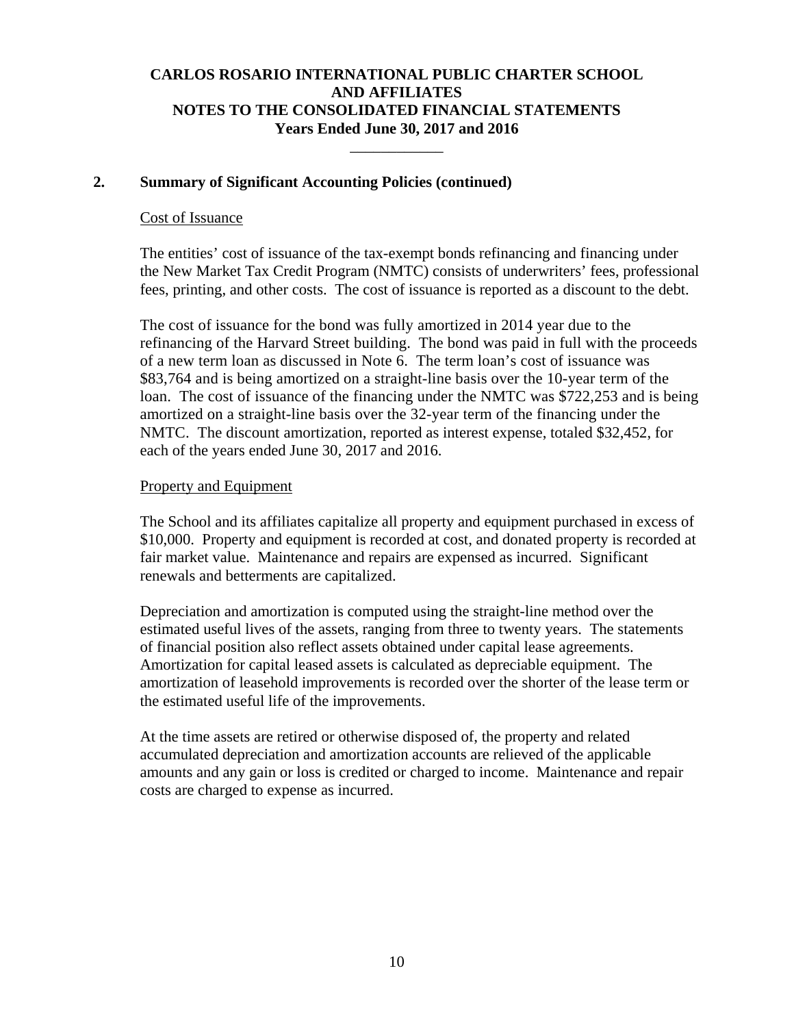\_\_\_\_\_\_\_\_\_\_\_\_

## **2. Summary of Significant Accounting Policies (continued)**

### Cost of Issuance

The entities' cost of issuance of the tax-exempt bonds refinancing and financing under the New Market Tax Credit Program (NMTC) consists of underwriters' fees, professional fees, printing, and other costs. The cost of issuance is reported as a discount to the debt.

The cost of issuance for the bond was fully amortized in 2014 year due to the refinancing of the Harvard Street building. The bond was paid in full with the proceeds of a new term loan as discussed in Note 6. The term loan's cost of issuance was \$83,764 and is being amortized on a straight-line basis over the 10-year term of the loan. The cost of issuance of the financing under the NMTC was \$722,253 and is being amortized on a straight-line basis over the 32-year term of the financing under the NMTC. The discount amortization, reported as interest expense, totaled \$32,452, for each of the years ended June 30, 2017 and 2016.

### Property and Equipment

The School and its affiliates capitalize all property and equipment purchased in excess of \$10,000. Property and equipment is recorded at cost, and donated property is recorded at fair market value. Maintenance and repairs are expensed as incurred. Significant renewals and betterments are capitalized.

Depreciation and amortization is computed using the straight-line method over the estimated useful lives of the assets, ranging from three to twenty years. The statements of financial position also reflect assets obtained under capital lease agreements. Amortization for capital leased assets is calculated as depreciable equipment. The amortization of leasehold improvements is recorded over the shorter of the lease term or the estimated useful life of the improvements.

At the time assets are retired or otherwise disposed of, the property and related accumulated depreciation and amortization accounts are relieved of the applicable amounts and any gain or loss is credited or charged to income. Maintenance and repair costs are charged to expense as incurred.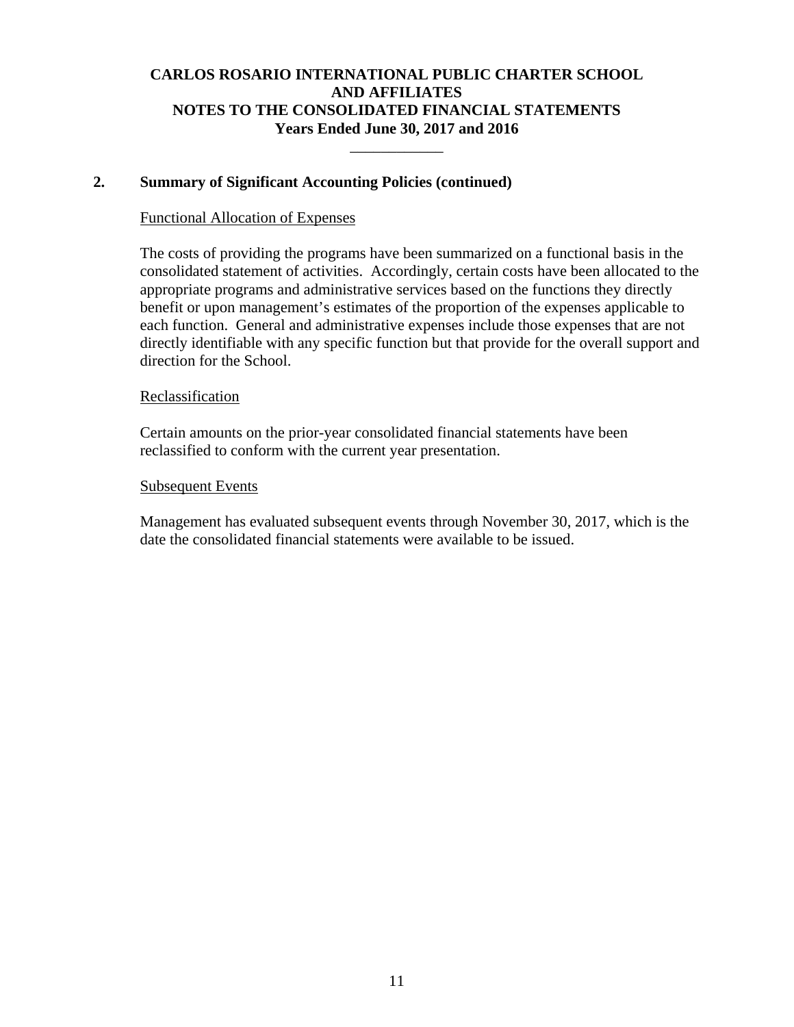\_\_\_\_\_\_\_\_\_\_\_\_

## **2. Summary of Significant Accounting Policies (continued)**

### Functional Allocation of Expenses

The costs of providing the programs have been summarized on a functional basis in the consolidated statement of activities. Accordingly, certain costs have been allocated to the appropriate programs and administrative services based on the functions they directly benefit or upon management's estimates of the proportion of the expenses applicable to each function. General and administrative expenses include those expenses that are not directly identifiable with any specific function but that provide for the overall support and direction for the School.

### Reclassification

Certain amounts on the prior-year consolidated financial statements have been reclassified to conform with the current year presentation.

### Subsequent Events

Management has evaluated subsequent events through November 30, 2017, which is the date the consolidated financial statements were available to be issued.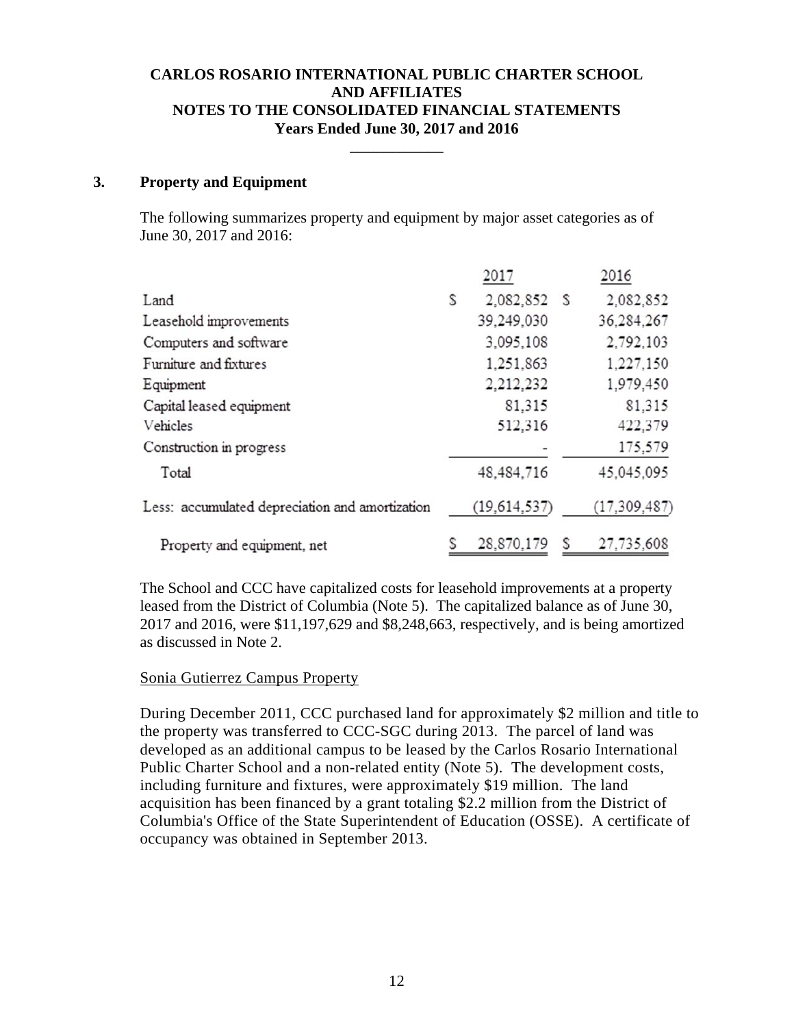\_\_\_\_\_\_\_\_\_\_\_\_

### **3. Property and Equipment**

The following summarizes property and equipment by major asset categories as of June 30, 2017 and 2016:

 $\sim$   $\sim$   $\sim$ 

 $\sim$   $\sim$   $\sim$ 

|                                                 |   | 2017         |   | 2016           |
|-------------------------------------------------|---|--------------|---|----------------|
| Land                                            | S | 2,082,852 S  |   | 2,082,852      |
| Leasehold improvements                          |   | 39.249.030   |   | 36,284,267     |
| Computers and software                          |   | 3,095,108    |   | 2,792,103      |
| Furniture and fixtures                          |   | 1,251,863    |   | 1,227,150      |
| Equipment                                       |   | 2,212,232    |   | 1,979,450      |
| Capital leased equipment                        |   | 81,315       |   | 81,315         |
| Vehicles                                        |   | 512,316      |   | 422,379        |
| Construction in progress                        |   |              |   | 175,579        |
| Total                                           |   | 48, 484, 716 |   | 45,045,095     |
| Less: accumulated depreciation and amortization |   | (19,614,537) |   | (17, 309, 487) |
| Property and equipment, net                     | S | 28,870,179   | S | 27.735.608     |

The School and CCC have capitalized costs for leasehold improvements at a property leased from the District of Columbia (Note 5). The capitalized balance as of June 30, 2017 and 2016, were \$11,197,629 and \$8,248,663, respectively, and is being amortized as discussed in Note 2.

## Sonia Gutierrez Campus Property

During December 2011, CCC purchased land for approximately \$2 million and title to the property was transferred to CCC-SGC during 2013. The parcel of land was developed as an additional campus to be leased by the Carlos Rosario International Public Charter School and a non-related entity (Note 5). The development costs, including furniture and fixtures, were approximately \$19 million. The land acquisition has been financed by a grant totaling \$2.2 million from the District of Columbia's Office of the State Superintendent of Education (OSSE). A certificate of occupancy was obtained in September 2013.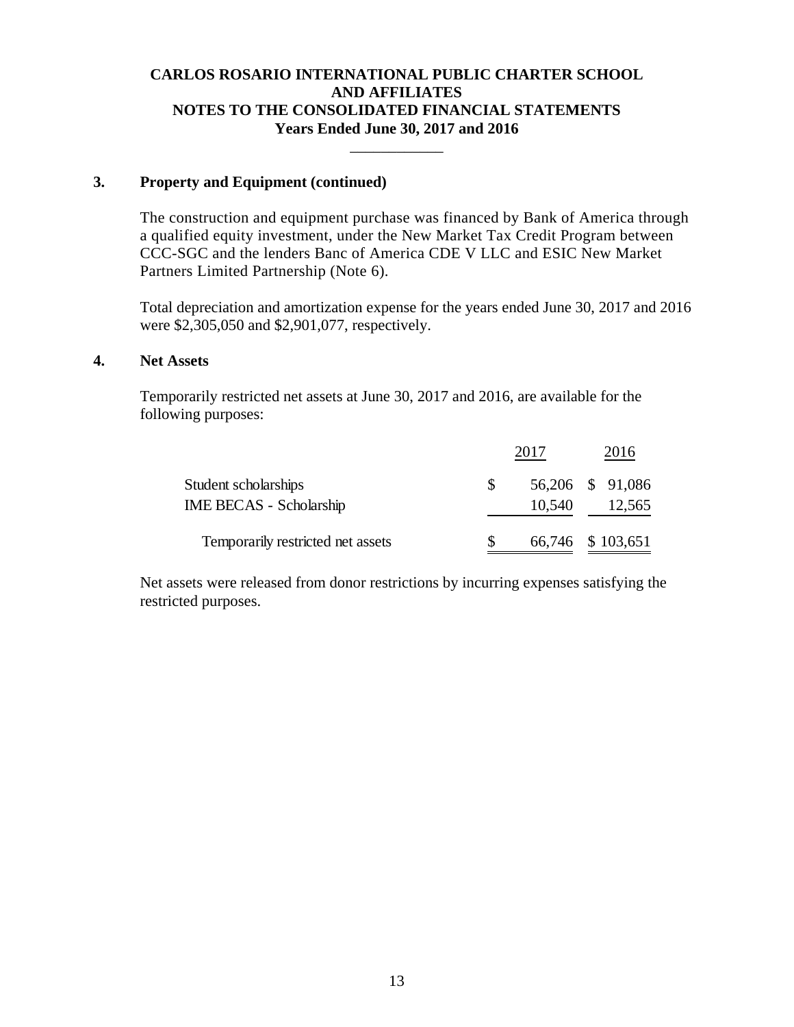\_\_\_\_\_\_\_\_\_\_\_\_

## **3. Property and Equipment (continued)**

The construction and equipment purchase was financed by Bank of America through a qualified equity investment, under the New Market Tax Credit Program between CCC-SGC and the lenders Banc of America CDE V LLC and ESIC New Market Partners Limited Partnership (Note 6).

Total depreciation and amortization expense for the years ended June 30, 2017 and 2016 were \$2,305,050 and \$2,901,077, respectively.

## **4. Net Assets**

Temporarily restricted net assets at June 30, 2017 and 2016, are available for the following purposes:

|                                   |              | 2017   | 2016             |
|-----------------------------------|--------------|--------|------------------|
| Student scholarships              | <sup>S</sup> |        | 56,206 \$ 91,086 |
| <b>IME BECAS - Scholarship</b>    |              | 10,540 | 12,565           |
| Temporarily restricted net assets | <sup>S</sup> |        | 66,746 \$103,651 |

Net assets were released from donor restrictions by incurring expenses satisfying the restricted purposes.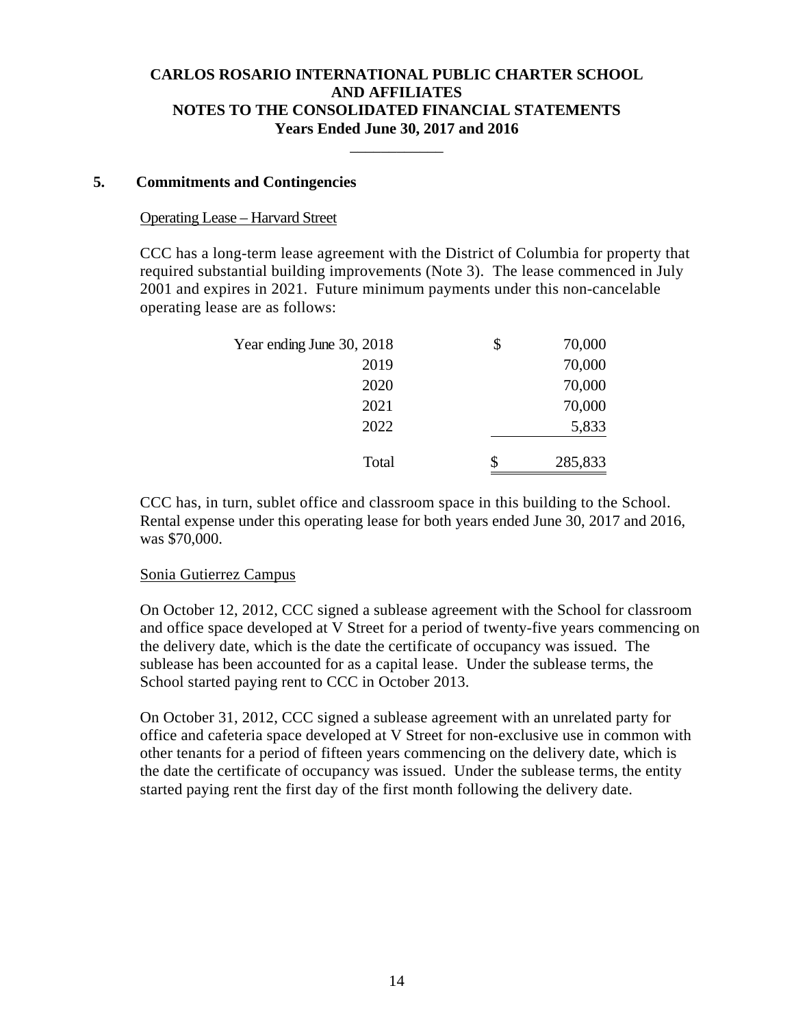\_\_\_\_\_\_\_\_\_\_\_\_

## **5. Commitments and Contingencies**

## Operating Lease – Harvard Street

CCC has a long-term lease agreement with the District of Columbia for property that required substantial building improvements (Note 3). The lease commenced in July 2001 and expires in 2021. Future minimum payments under this non-cancelable operating lease are as follows:

| Year ending June 30, 2018 | \$<br>70,000  |
|---------------------------|---------------|
| 2019                      | 70,000        |
| 2020                      | 70,000        |
| 2021                      | 70,000        |
| 2022                      | 5,833         |
| Total                     | \$<br>285,833 |

CCC has, in turn, sublet office and classroom space in this building to the School. Rental expense under this operating lease for both years ended June 30, 2017 and 2016, was \$70,000.

## Sonia Gutierrez Campus

On October 12, 2012, CCC signed a sublease agreement with the School for classroom and office space developed at V Street for a period of twenty-five years commencing on the delivery date, which is the date the certificate of occupancy was issued. The sublease has been accounted for as a capital lease. Under the sublease terms, the School started paying rent to CCC in October 2013.

On October 31, 2012, CCC signed a sublease agreement with an unrelated party for office and cafeteria space developed at V Street for non-exclusive use in common with other tenants for a period of fifteen years commencing on the delivery date, which is the date the certificate of occupancy was issued. Under the sublease terms, the entity started paying rent the first day of the first month following the delivery date.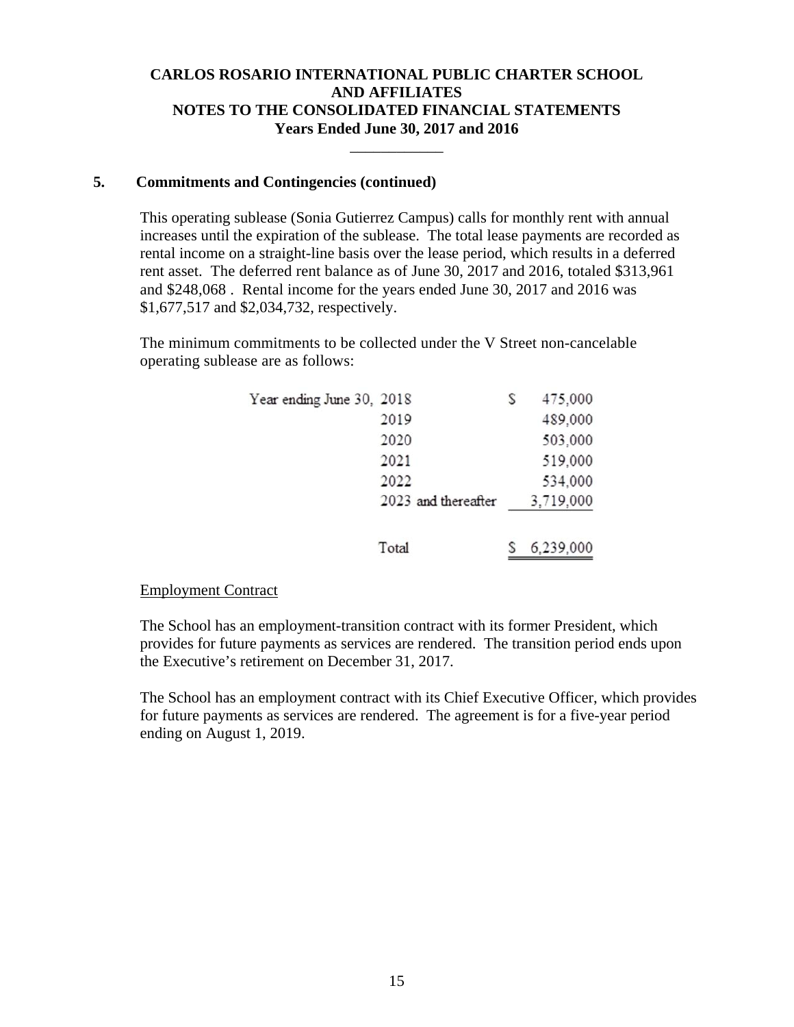\_\_\_\_\_\_\_\_\_\_\_\_

## **5. Commitments and Contingencies (continued)**

This operating sublease (Sonia Gutierrez Campus) calls for monthly rent with annual increases until the expiration of the sublease. The total lease payments are recorded as rental income on a straight-line basis over the lease period, which results in a deferred rent asset. The deferred rent balance as of June 30, 2017 and 2016, totaled \$313,961 and \$248,068 . Rental income for the years ended June 30, 2017 and 2016 was \$1,677,517 and \$2,034,732, respectively.

The minimum commitments to be collected under the V Street non-cancelable operating sublease are as follows:

| Year ending June 30, 2018 |                     | S | 475,000   |
|---------------------------|---------------------|---|-----------|
|                           | 2019                |   | 489,000   |
|                           | 2020                |   | 503,000   |
|                           | 2021                |   | 519,000   |
|                           | 2022                |   | 534,000   |
|                           | 2023 and thereafter |   | 3,719,000 |
|                           | Total               |   | 6,239,000 |

#### Employment Contract

The School has an employment-transition contract with its former President, which provides for future payments as services are rendered. The transition period ends upon the Executive's retirement on December 31, 2017.

The School has an employment contract with its Chief Executive Officer, which provides for future payments as services are rendered. The agreement is for a five-year period ending on August 1, 2019.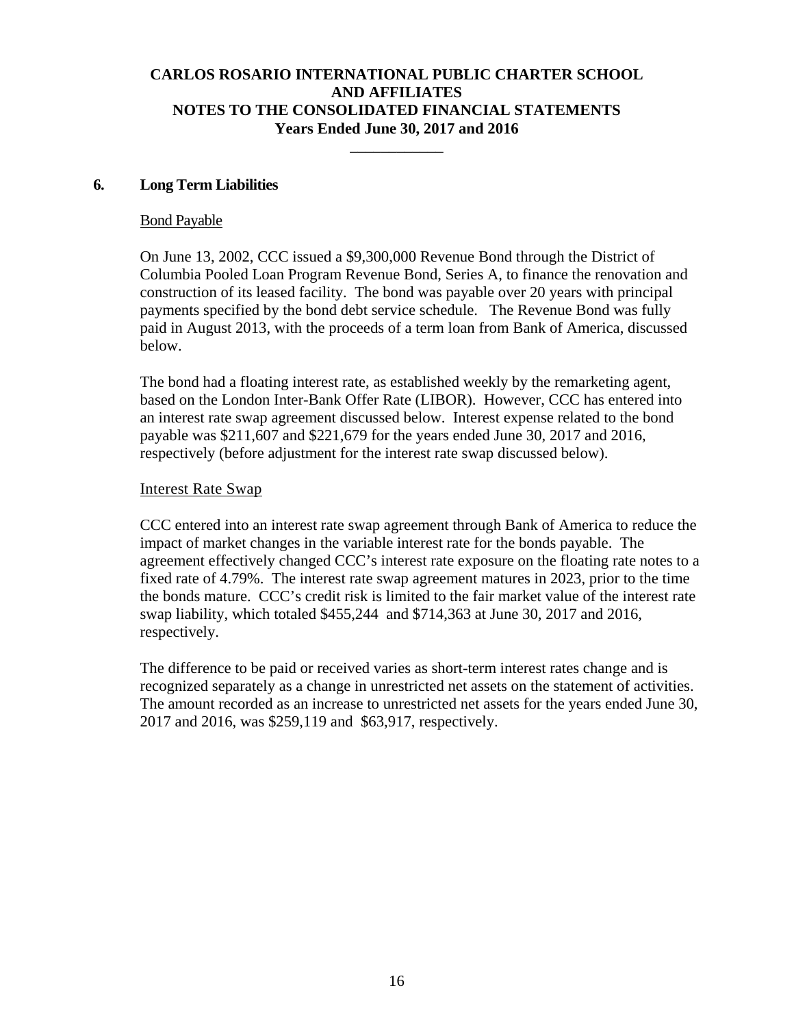\_\_\_\_\_\_\_\_\_\_\_\_

### **6. Long Term Liabilities**

#### Bond Payable

 On June 13, 2002, CCC issued a \$9,300,000 Revenue Bond through the District of Columbia Pooled Loan Program Revenue Bond, Series A, to finance the renovation and construction of its leased facility. The bond was payable over 20 years with principal payments specified by the bond debt service schedule. The Revenue Bond was fully paid in August 2013, with the proceeds of a term loan from Bank of America, discussed below.

The bond had a floating interest rate, as established weekly by the remarketing agent, based on the London Inter-Bank Offer Rate (LIBOR). However, CCC has entered into an interest rate swap agreement discussed below. Interest expense related to the bond payable was \$211,607 and \$221,679 for the years ended June 30, 2017 and 2016, respectively (before adjustment for the interest rate swap discussed below).

## Interest Rate Swap

CCC entered into an interest rate swap agreement through Bank of America to reduce the impact of market changes in the variable interest rate for the bonds payable. The agreement effectively changed CCC's interest rate exposure on the floating rate notes to a fixed rate of 4.79%. The interest rate swap agreement matures in 2023, prior to the time the bonds mature. CCC's credit risk is limited to the fair market value of the interest rate swap liability, which totaled \$455,244 and \$714,363 at June 30, 2017 and 2016, respectively.

The difference to be paid or received varies as short-term interest rates change and is recognized separately as a change in unrestricted net assets on the statement of activities. The amount recorded as an increase to unrestricted net assets for the years ended June 30, 2017 and 2016, was \$259,119 and \$63,917, respectively.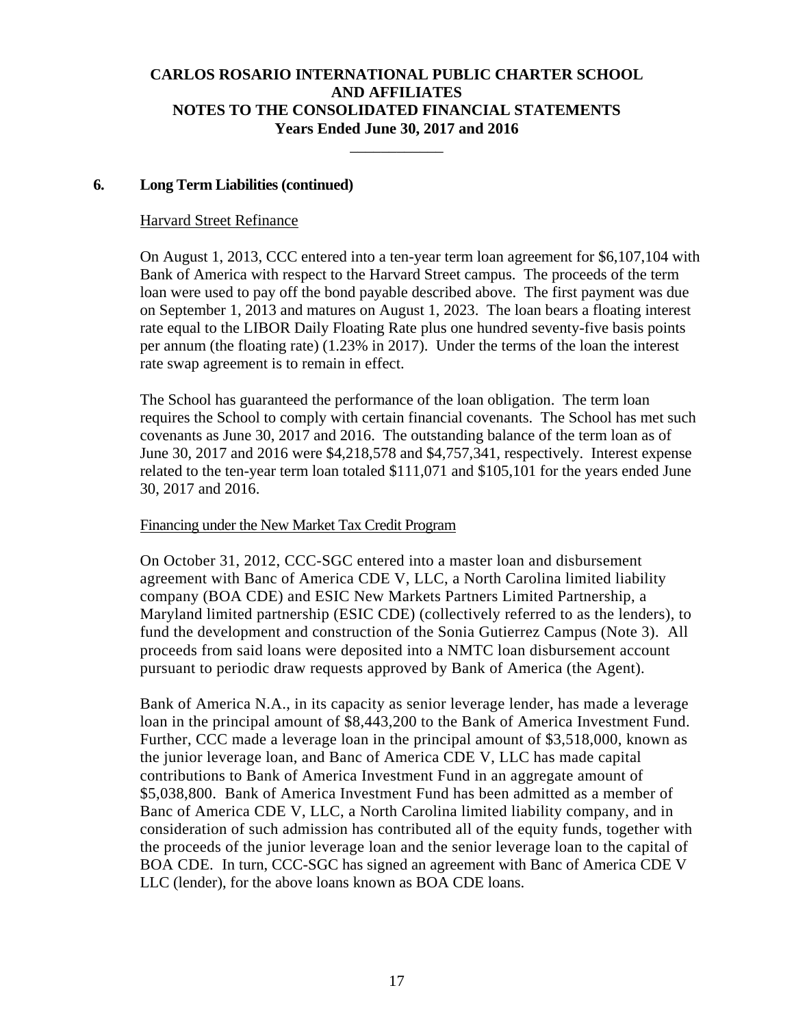\_\_\_\_\_\_\_\_\_\_\_\_

### **6. Long Term Liabilities (continued)**

#### Harvard Street Refinance

 On August 1, 2013, CCC entered into a ten-year term loan agreement for \$6,107,104 with Bank of America with respect to the Harvard Street campus. The proceeds of the term loan were used to pay off the bond payable described above. The first payment was due on September 1, 2013 and matures on August 1, 2023. The loan bears a floating interest rate equal to the LIBOR Daily Floating Rate plus one hundred seventy-five basis points per annum (the floating rate) (1.23% in 2017). Under the terms of the loan the interest rate swap agreement is to remain in effect.

 The School has guaranteed the performance of the loan obligation. The term loan requires the School to comply with certain financial covenants. The School has met such covenants as June 30, 2017 and 2016. The outstanding balance of the term loan as of June 30, 2017 and 2016 were \$4,218,578 and \$4,757,341, respectively. Interest expense related to the ten-year term loan totaled \$111,071 and \$105,101 for the years ended June 30, 2017 and 2016.

#### Financing under the New Market Tax Credit Program

 On October 31, 2012, CCC-SGC entered into a master loan and disbursement agreement with Banc of America CDE V, LLC, a North Carolina limited liability company (BOA CDE) and ESIC New Markets Partners Limited Partnership, a Maryland limited partnership (ESIC CDE) (collectively referred to as the lenders), to fund the development and construction of the Sonia Gutierrez Campus (Note 3). All proceeds from said loans were deposited into a NMTC loan disbursement account pursuant to periodic draw requests approved by Bank of America (the Agent).

Bank of America N.A., in its capacity as senior leverage lender, has made a leverage loan in the principal amount of \$8,443,200 to the Bank of America Investment Fund. Further, CCC made a leverage loan in the principal amount of \$3,518,000, known as the junior leverage loan, and Banc of America CDE V, LLC has made capital contributions to Bank of America Investment Fund in an aggregate amount of \$5,038,800. Bank of America Investment Fund has been admitted as a member of Banc of America CDE V, LLC, a North Carolina limited liability company, and in consideration of such admission has contributed all of the equity funds, together with the proceeds of the junior leverage loan and the senior leverage loan to the capital of BOA CDE. In turn, CCC-SGC has signed an agreement with Banc of America CDE V LLC (lender), for the above loans known as BOA CDE loans.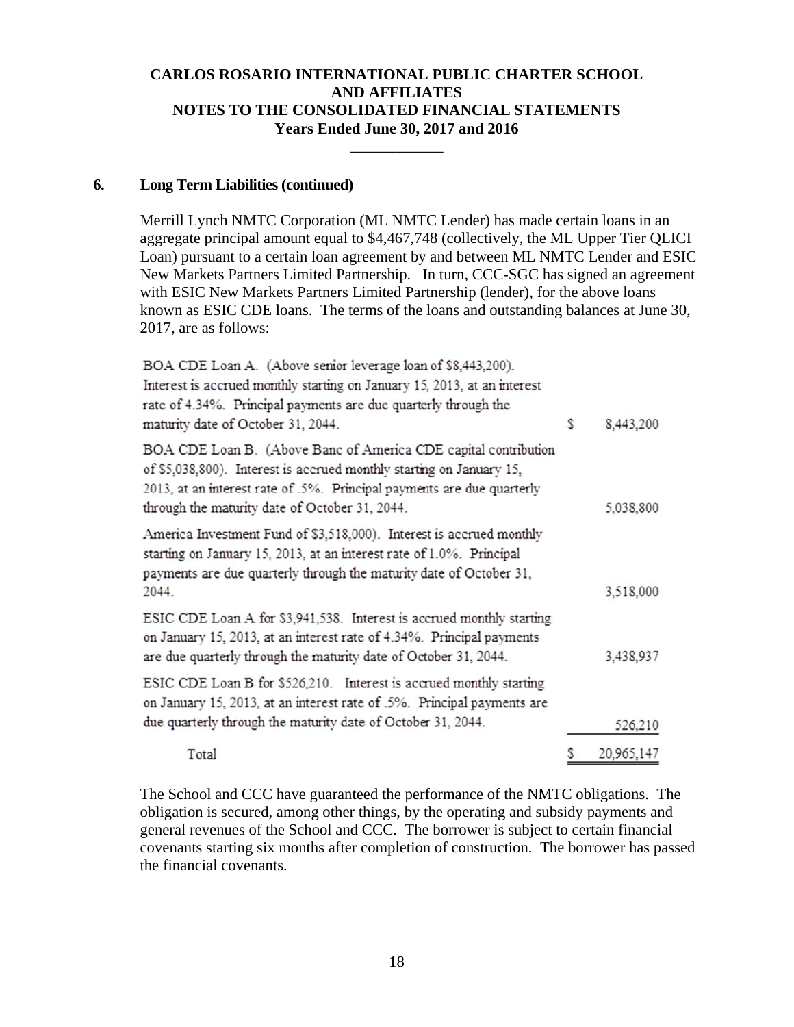\_\_\_\_\_\_\_\_\_\_\_\_

### **6. Long Term Liabilities (continued)**

 Merrill Lynch NMTC Corporation (ML NMTC Lender) has made certain loans in an aggregate principal amount equal to \$4,467,748 (collectively, the ML Upper Tier QLICI Loan) pursuant to a certain loan agreement by and between ML NMTC Lender and ESIC New Markets Partners Limited Partnership. In turn, CCC-SGC has signed an agreement with ESIC New Markets Partners Limited Partnership (lender), for the above loans known as ESIC CDE loans. The terms of the loans and outstanding balances at June 30, 2017, are as follows:

| BOA CDE Loan A. (Above senior leverage loan of \$8,443,200).<br>Interest is accrued monthly starting on January 15, 2013, at an interest<br>rate of 4.34%. Principal payments are due quarterly through the<br>maturity date of October 31, 2044.                   | S | 8,443,200  |
|---------------------------------------------------------------------------------------------------------------------------------------------------------------------------------------------------------------------------------------------------------------------|---|------------|
| BOA CDE Loan B. (Above Banc of America CDE capital contribution<br>of \$5,038,800). Interest is accrued monthly starting on January 15,<br>2013, at an interest rate of .5%. Principal payments are due quarterly<br>through the maturity date of October 31, 2044. |   | 5,038,800  |
| America Investment Fund of \$3,518,000). Interest is accrued monthly<br>starting on January 15, 2013, at an interest rate of 1.0%. Principal<br>payments are due quarterly through the maturity date of October 31,<br>2044.                                        |   | 3,518,000  |
| ESIC CDE Loan A for \$3,941,538. Interest is accrued monthly starting<br>on January 15, 2013, at an interest rate of 4.34%. Principal payments<br>are due quarterly through the maturity date of October 31, 2044.                                                  |   | 3,438,937  |
| ESIC CDE Loan B for \$526,210. Interest is accrued monthly starting<br>on January 15, 2013, at an interest rate of .5%. Principal payments are<br>due quarterly through the maturity date of October 31, 2044.                                                      |   | 526,210    |
| Total                                                                                                                                                                                                                                                               |   | 20,965,147 |

The School and CCC have guaranteed the performance of the NMTC obligations. The obligation is secured, among other things, by the operating and subsidy payments and general revenues of the School and CCC. The borrower is subject to certain financial covenants starting six months after completion of construction. The borrower has passed the financial covenants.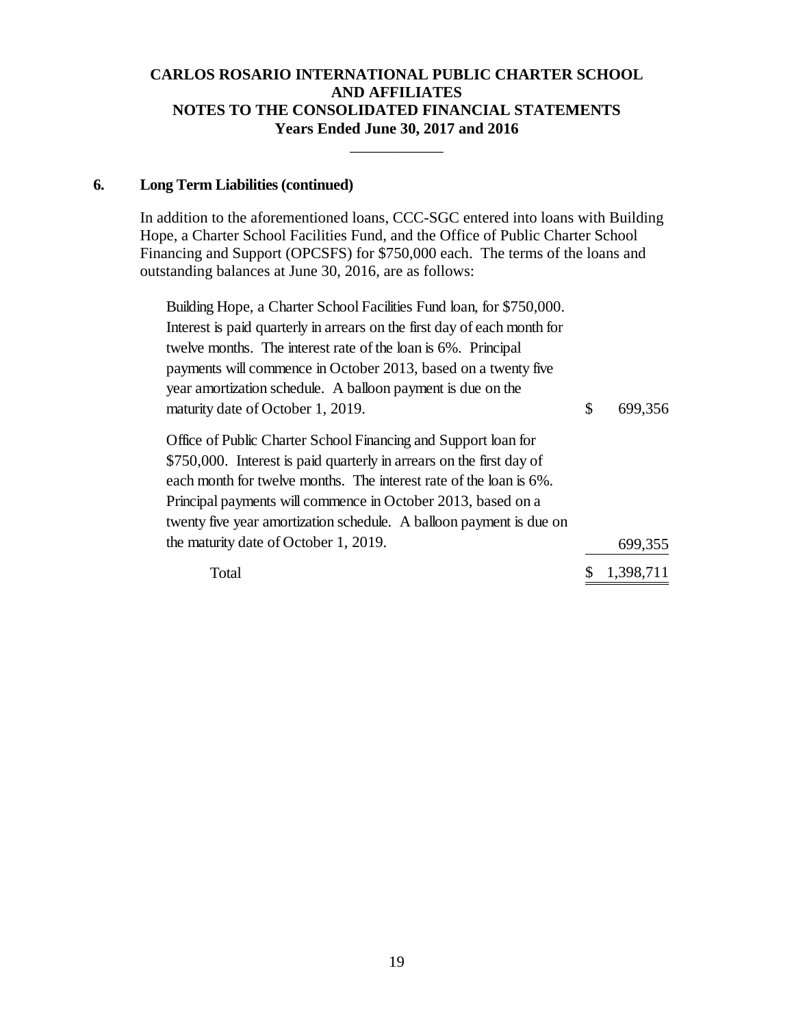\_\_\_\_\_\_\_\_\_\_\_\_

## **6. Long Term Liabilities (continued)**

In addition to the aforementioned loans, CCC-SGC entered into loans with Building Hope, a Charter School Facilities Fund, and the Office of Public Charter School Financing and Support (OPCSFS) for \$750,000 each. The terms of the loans and outstanding balances at June 30, 2016, are as follows:

| Building Hope, a Charter School Facilities Fund Ioan, for \$750,000.                                                                                                                                                                                                                                                                                |               |
|-----------------------------------------------------------------------------------------------------------------------------------------------------------------------------------------------------------------------------------------------------------------------------------------------------------------------------------------------------|---------------|
| Interest is paid quarterly in arrears on the first day of each month for                                                                                                                                                                                                                                                                            |               |
| twelve months. The interest rate of the loan is 6%. Principal                                                                                                                                                                                                                                                                                       |               |
| payments will commence in October 2013, based on a twenty five                                                                                                                                                                                                                                                                                      |               |
| year amortization schedule. A balloon payment is due on the                                                                                                                                                                                                                                                                                         |               |
| maturity date of October 1, 2019.                                                                                                                                                                                                                                                                                                                   | \$<br>699,356 |
| Office of Public Charter School Financing and Support loan for<br>\$750,000. Interest is paid quarterly in arrears on the first day of<br>each month for twelve months. The interest rate of the loan is 6%.<br>Principal payments will commence in October 2013, based on a<br>twenty five year amortization schedule. A balloon payment is due on |               |
| the maturity date of October 1, 2019.                                                                                                                                                                                                                                                                                                               | 699,355       |
| Total                                                                                                                                                                                                                                                                                                                                               | 1,398,711     |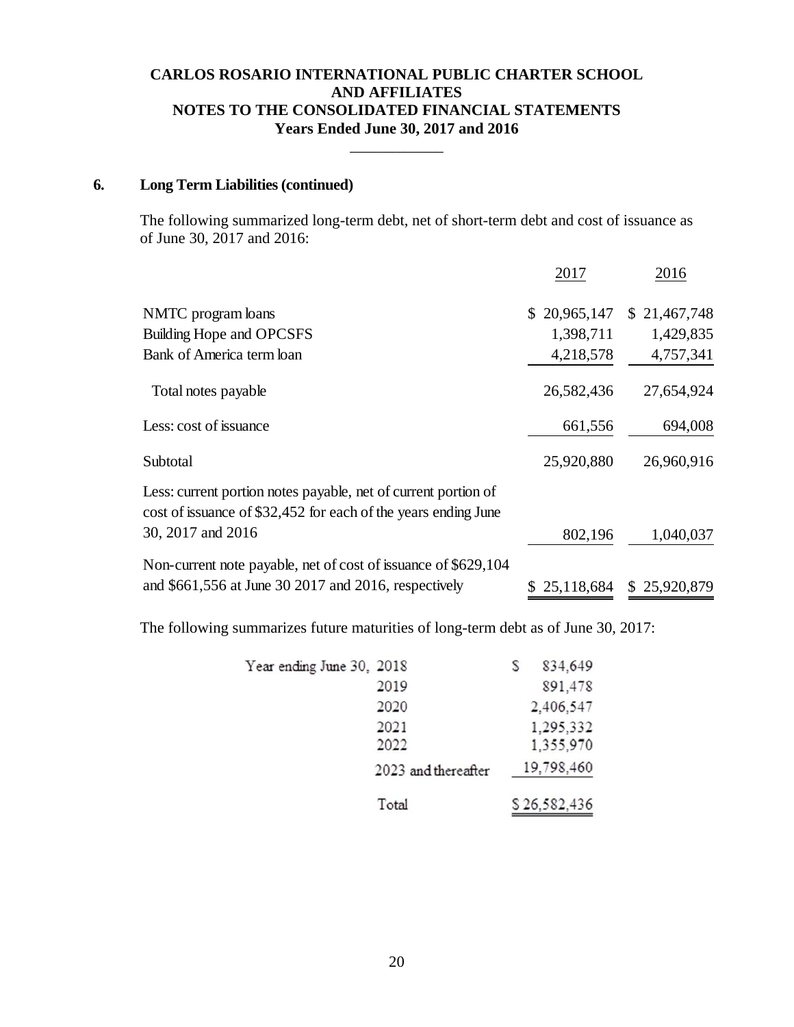\_\_\_\_\_\_\_\_\_\_\_\_

## **6. Long Term Liabilities (continued)**

The following summarized long-term debt, net of short-term debt and cost of issuance as of June 30, 2017 and 2016:

|                                                                                                                                  | 2017         | 2016         |
|----------------------------------------------------------------------------------------------------------------------------------|--------------|--------------|
| NMTC program loans                                                                                                               | \$20,965,147 | \$21,467,748 |
| Building Hope and OPCSFS                                                                                                         | 1,398,711    | 1,429,835    |
| Bank of America term loan                                                                                                        | 4,218,578    | 4,757,341    |
| Total notes payable                                                                                                              | 26,582,436   | 27,654,924   |
| Less: cost of issuance                                                                                                           | 661,556      | 694,008      |
| Subtotal                                                                                                                         | 25,920,880   | 26,960,916   |
| Less: current portion notes payable, net of current portion of<br>cost of issuance of \$32,452 for each of the years ending June |              |              |
| 30, 2017 and 2016                                                                                                                | 802,196      | 1,040,037    |
| Non-current note payable, net of cost of issuance of \$629,104                                                                   |              |              |
| and \$661,556 at June 30 2017 and 2016, respectively                                                                             | \$25,118,684 | \$25,920,879 |

The following summarizes future maturities of long-term debt as of June 30, 2017:

| Year ending June 30, 2018 |                     | S | 834,649      |
|---------------------------|---------------------|---|--------------|
|                           | 2019                |   | 891,478      |
|                           | 2020                |   | 2,406,547    |
|                           | 2021                |   | 1,295,332    |
|                           | 2022                |   | 1,355,970    |
|                           | 2023 and thereafter |   | 19,798,460   |
|                           | Total               |   | \$26,582,436 |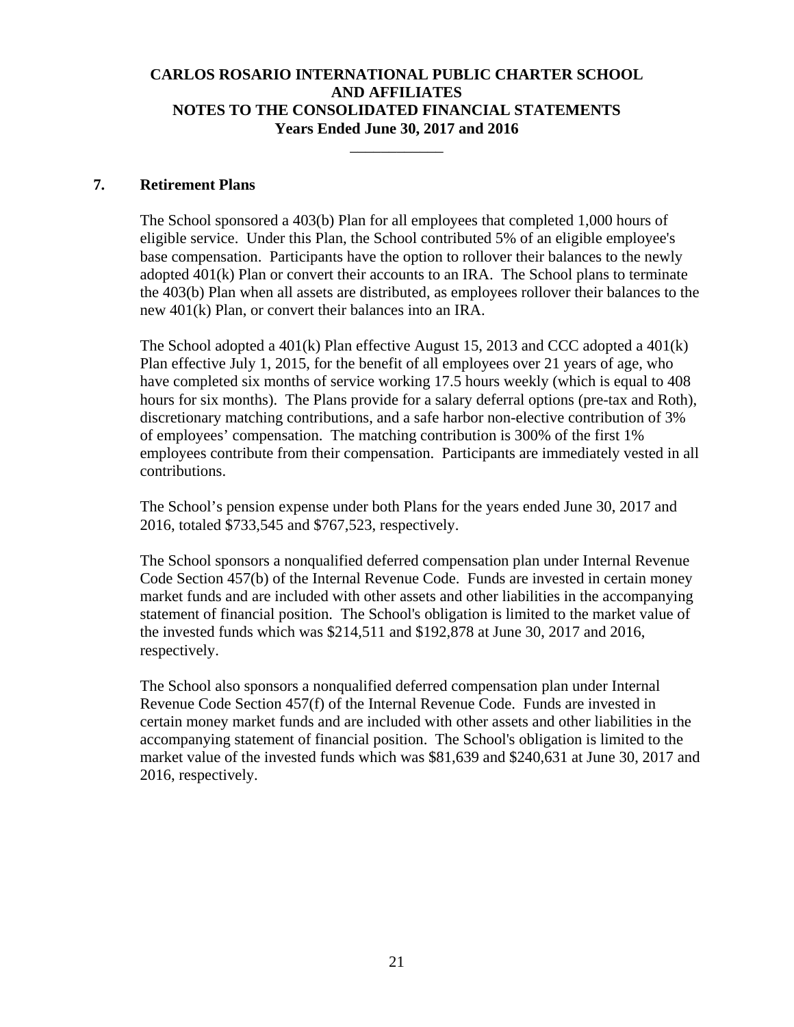\_\_\_\_\_\_\_\_\_\_\_\_

### **7. Retirement Plans**

The School sponsored a 403(b) Plan for all employees that completed 1,000 hours of eligible service. Under this Plan, the School contributed 5% of an eligible employee's base compensation. Participants have the option to rollover their balances to the newly adopted 401(k) Plan or convert their accounts to an IRA. The School plans to terminate the 403(b) Plan when all assets are distributed, as employees rollover their balances to the new 401(k) Plan, or convert their balances into an IRA.

The School adopted a  $401(k)$  Plan effective August 15, 2013 and CCC adopted a  $401(k)$ Plan effective July 1, 2015, for the benefit of all employees over 21 years of age, who have completed six months of service working 17.5 hours weekly (which is equal to 408 hours for six months). The Plans provide for a salary deferral options (pre-tax and Roth), discretionary matching contributions, and a safe harbor non-elective contribution of 3% of employees' compensation. The matching contribution is 300% of the first 1% employees contribute from their compensation. Participants are immediately vested in all contributions.

The School's pension expense under both Plans for the years ended June 30, 2017 and 2016, totaled \$733,545 and \$767,523, respectively.

The School sponsors a nonqualified deferred compensation plan under Internal Revenue Code Section 457(b) of the Internal Revenue Code. Funds are invested in certain money market funds and are included with other assets and other liabilities in the accompanying statement of financial position. The School's obligation is limited to the market value of the invested funds which was \$214,511 and \$192,878 at June 30, 2017 and 2016, respectively.

The School also sponsors a nonqualified deferred compensation plan under Internal Revenue Code Section 457(f) of the Internal Revenue Code. Funds are invested in certain money market funds and are included with other assets and other liabilities in the accompanying statement of financial position. The School's obligation is limited to the market value of the invested funds which was \$81,639 and \$240,631 at June 30, 2017 and 2016, respectively.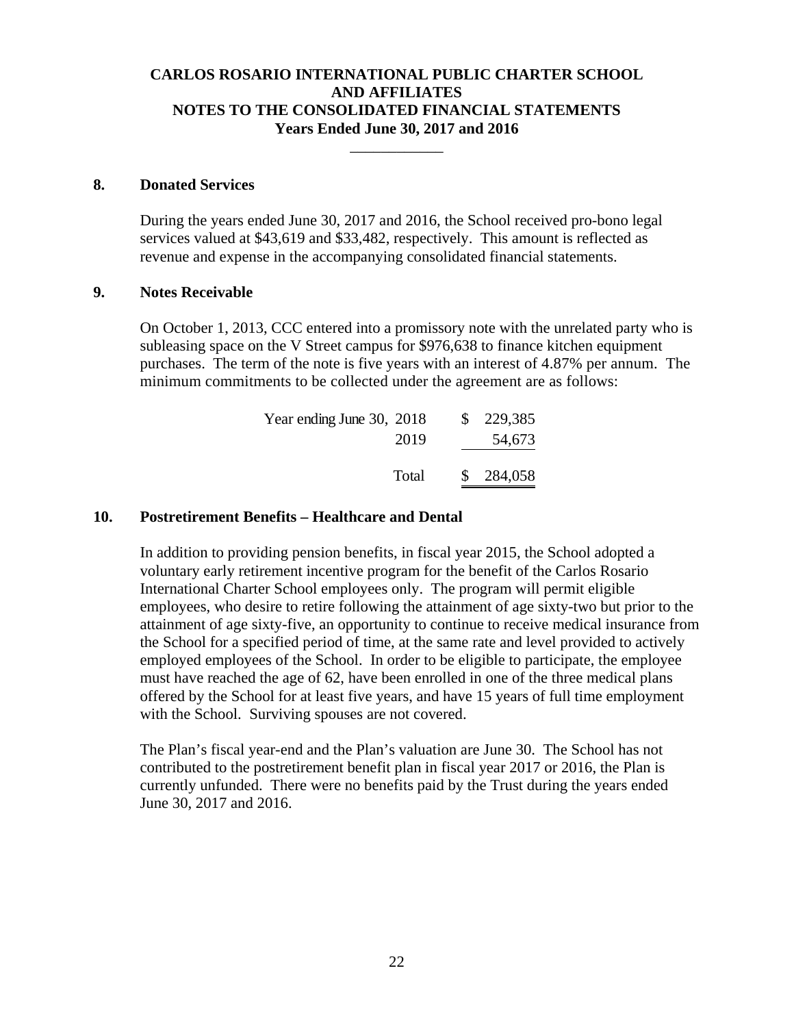\_\_\_\_\_\_\_\_\_\_\_\_

### **8. Donated Services**

During the years ended June 30, 2017 and 2016, the School received pro-bono legal services valued at \$43,619 and \$33,482, respectively. This amount is reflected as revenue and expense in the accompanying consolidated financial statements.

### **9. Notes Receivable**

 On October 1, 2013, CCC entered into a promissory note with the unrelated party who is subleasing space on the V Street campus for \$976,638 to finance kitchen equipment purchases. The term of the note is five years with an interest of 4.87% per annum. The minimum commitments to be collected under the agreement are as follows:

| Year ending June 30, 2018 |       | \$229,385 |
|---------------------------|-------|-----------|
|                           | 2019  | 54,673    |
|                           |       |           |
|                           | Total | \$284,058 |

## **10. Postretirement Benefits – Healthcare and Dental**

In addition to providing pension benefits, in fiscal year 2015, the School adopted a voluntary early retirement incentive program for the benefit of the Carlos Rosario International Charter School employees only. The program will permit eligible employees, who desire to retire following the attainment of age sixty-two but prior to the attainment of age sixty-five, an opportunity to continue to receive medical insurance from the School for a specified period of time, at the same rate and level provided to actively employed employees of the School. In order to be eligible to participate, the employee must have reached the age of 62, have been enrolled in one of the three medical plans offered by the School for at least five years, and have 15 years of full time employment with the School. Surviving spouses are not covered.

The Plan's fiscal year-end and the Plan's valuation are June 30. The School has not contributed to the postretirement benefit plan in fiscal year 2017 or 2016, the Plan is currently unfunded. There were no benefits paid by the Trust during the years ended June 30, 2017 and 2016.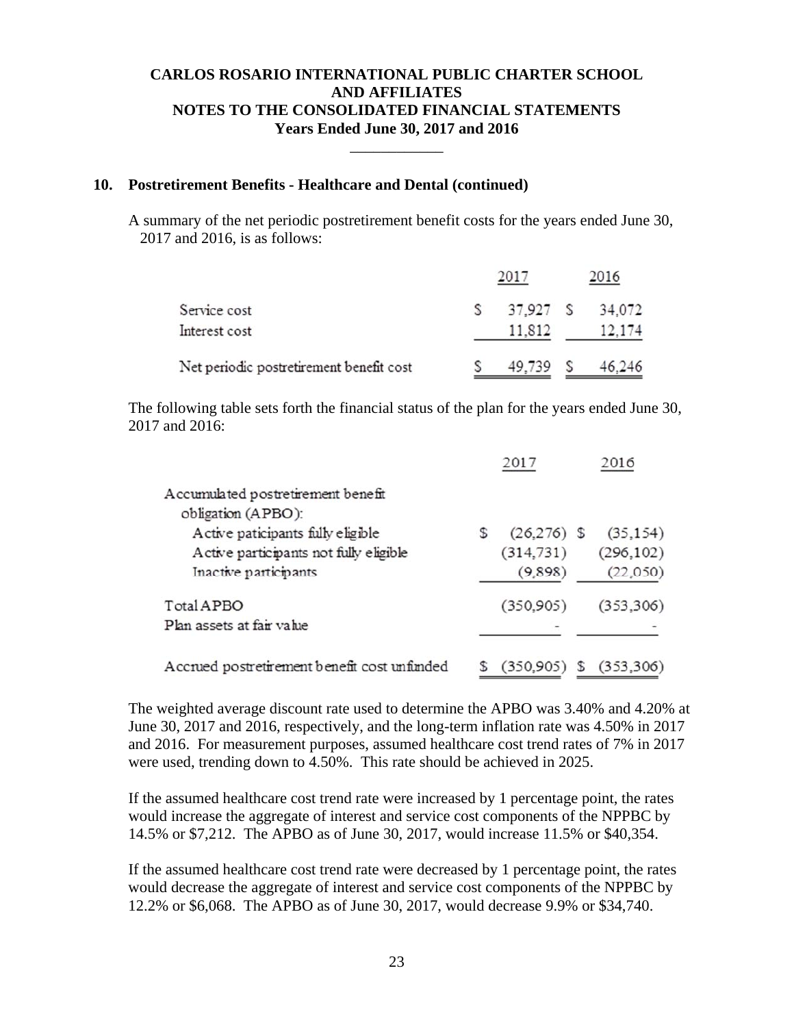\_\_\_\_\_\_\_\_\_\_\_\_

### **10. Postretirement Benefits - Healthcare and Dental (continued)**

A summary of the net periodic postretirement benefit costs for the years ended June 30, 2017 and 2016, is as follows:

|                                          | 2017     | 2016   |
|------------------------------------------|----------|--------|
| Service cost                             | 37,927 S | 34,072 |
| Interest cost                            | 11.812   | 12.174 |
| Net periodic postretirement benefit cost | 49.739   | 46.246 |

The following table sets forth the financial status of the plan for the years ended June 30, 2017 and 2016:

|                                                          |   | 2013           | 2016       |
|----------------------------------------------------------|---|----------------|------------|
| Accumulated postretirement benefit<br>obligation (APBO): |   |                |            |
| Active paticipants fully eligible                        | S | $(26, 276)$ \$ | (35, 154)  |
| Active participants not fully eligible                   |   | (314, 731)     | (296, 102) |
| Inactive participants                                    |   | (9,898)        | (22, 050)  |
| <b>Total APBO</b>                                        |   | (350,905)      | (353, 306) |
| Plan assets at fair value                                |   |                |            |
| Accrued postretirement benefit cost unfunded             |   | $(350,905)$ \$ | (353, 306) |

The weighted average discount rate used to determine the APBO was 3.40% and 4.20% at June 30, 2017 and 2016, respectively, and the long-term inflation rate was 4.50% in 2017 and 2016. For measurement purposes, assumed healthcare cost trend rates of 7% in 2017 were used, trending down to 4.50%. This rate should be achieved in 2025.

If the assumed healthcare cost trend rate were increased by 1 percentage point, the rates would increase the aggregate of interest and service cost components of the NPPBC by 14.5% or \$7,212. The APBO as of June 30, 2017, would increase 11.5% or \$40,354.

If the assumed healthcare cost trend rate were decreased by 1 percentage point, the rates would decrease the aggregate of interest and service cost components of the NPPBC by 12.2% or \$6,068. The APBO as of June 30, 2017, would decrease 9.9% or \$34,740.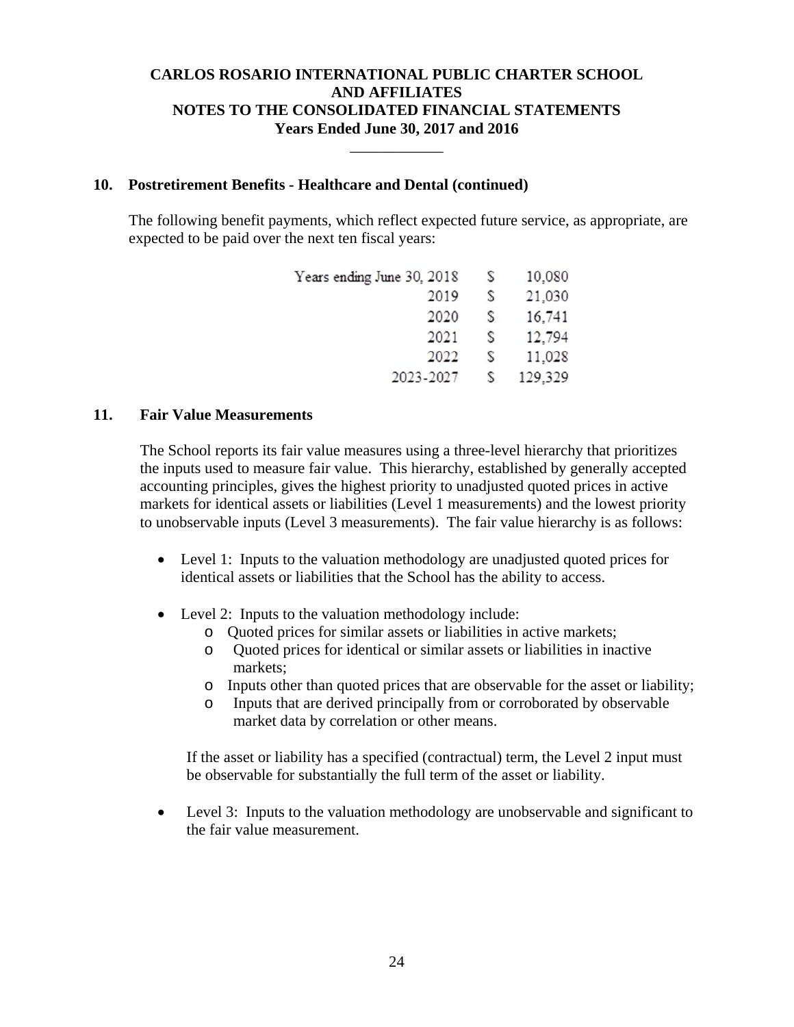\_\_\_\_\_\_\_\_\_\_\_\_

## **10. Postretirement Benefits - Healthcare and Dental (continued)**

The following benefit payments, which reflect expected future service, as appropriate, are expected to be paid over the next ten fiscal years:

| Years ending June 30, 2018 | S | 10.080  |
|----------------------------|---|---------|
| 2019                       | S | 21,030  |
| 2020                       | S | 16,741  |
| 2021                       | S | 12,794  |
| 2022                       | S | 11,028  |
| 2023-2027                  | S | 129.329 |

### **11. Fair Value Measurements**

The School reports its fair value measures using a three-level hierarchy that prioritizes the inputs used to measure fair value. This hierarchy, established by generally accepted accounting principles, gives the highest priority to unadjusted quoted prices in active markets for identical assets or liabilities (Level 1 measurements) and the lowest priority to unobservable inputs (Level 3 measurements). The fair value hierarchy is as follows:

- Level 1: Inputs to the valuation methodology are unadjusted quoted prices for identical assets or liabilities that the School has the ability to access.
- Level 2: Inputs to the valuation methodology include:
	- o Quoted prices for similar assets or liabilities in active markets;
	- o Quoted prices for identical or similar assets or liabilities in inactive markets;
	- o Inputs other than quoted prices that are observable for the asset or liability;
	- o Inputs that are derived principally from or corroborated by observable market data by correlation or other means.

If the asset or liability has a specified (contractual) term, the Level 2 input must be observable for substantially the full term of the asset or liability.

• Level 3: Inputs to the valuation methodology are unobservable and significant to the fair value measurement.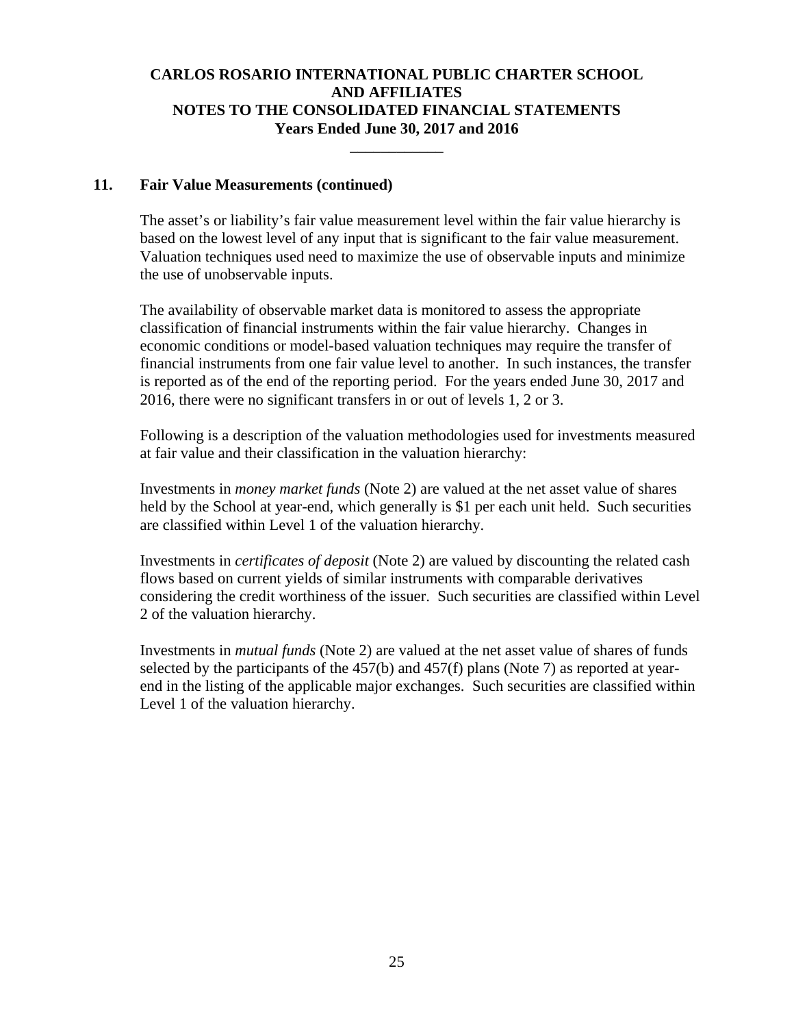\_\_\_\_\_\_\_\_\_\_\_\_

### **11. Fair Value Measurements (continued)**

The asset's or liability's fair value measurement level within the fair value hierarchy is based on the lowest level of any input that is significant to the fair value measurement. Valuation techniques used need to maximize the use of observable inputs and minimize the use of unobservable inputs.

The availability of observable market data is monitored to assess the appropriate classification of financial instruments within the fair value hierarchy. Changes in economic conditions or model-based valuation techniques may require the transfer of financial instruments from one fair value level to another. In such instances, the transfer is reported as of the end of the reporting period. For the years ended June 30, 2017 and 2016, there were no significant transfers in or out of levels 1, 2 or 3.

Following is a description of the valuation methodologies used for investments measured at fair value and their classification in the valuation hierarchy:

Investments in *money market funds* (Note 2) are valued at the net asset value of shares held by the School at year-end, which generally is \$1 per each unit held. Such securities are classified within Level 1 of the valuation hierarchy.

Investments in *certificates of deposit* (Note 2) are valued by discounting the related cash flows based on current yields of similar instruments with comparable derivatives considering the credit worthiness of the issuer. Such securities are classified within Level 2 of the valuation hierarchy.

Investments in *mutual funds* (Note 2) are valued at the net asset value of shares of funds selected by the participants of the 457(b) and 457(f) plans (Note 7) as reported at yearend in the listing of the applicable major exchanges. Such securities are classified within Level 1 of the valuation hierarchy.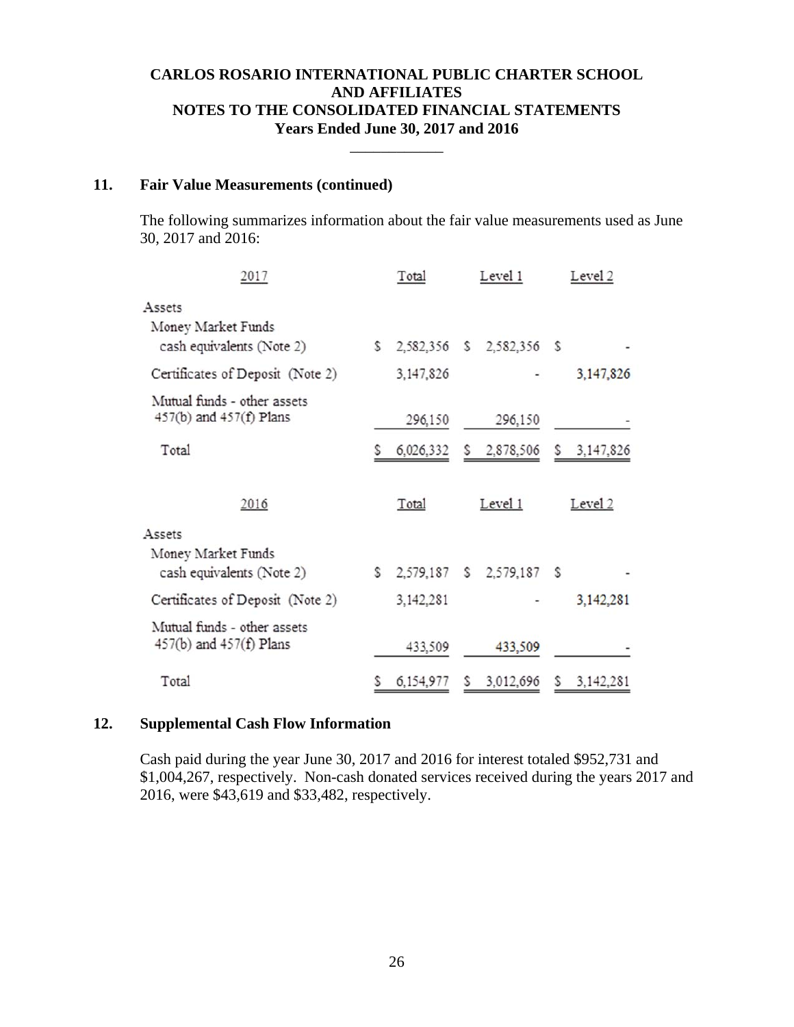\_\_\_\_\_\_\_\_\_\_\_\_

### **11. Fair Value Measurements (continued)**

The following summarizes information about the fair value measurements used as June 30, 2017 and 2016:

| 2017                                                       |   | Total     |   | Level 1                   |     | Level 2            |
|------------------------------------------------------------|---|-----------|---|---------------------------|-----|--------------------|
| Assets                                                     |   |           |   |                           |     |                    |
| Money Market Funds<br>cash equivalents (Note 2)            | s |           |   | 2,582,356 \$ 2,582,356    | - S |                    |
| Certificates of Deposit (Note 2)                           |   | 3,147,826 |   |                           |     | 3,147,826          |
| Mutual funds - other assets<br>$457(b)$ and $457(f)$ Plans |   | 296,150   |   | 296,150                   |     |                    |
| Total                                                      |   | 6,026,332 |   | \$2,878,506               |     | \$3,147,826        |
| 2016                                                       |   | Total     |   | Level 1                   |     | Level <sub>2</sub> |
| Assets                                                     |   |           |   |                           |     |                    |
| Money Market Funds<br>cash equivalents (Note 2)            | s |           |   | 2,579,187 \$ 2,579,187 \$ |     |                    |
| Certificates of Deposit (Note 2)                           |   | 3,142,281 |   |                           |     | 3,142,281          |
| Mutual funds - other assets<br>457(b) and 457(f) Plans     |   | 433,509   |   | 433,509                   |     |                    |
| Total                                                      | s | 6,154,977 | S | 3,012,696                 | S   | 3,142,281          |

## **12. Supplemental Cash Flow Information**

Cash paid during the year June 30, 2017 and 2016 for interest totaled \$952,731 and \$1,004,267, respectively. Non-cash donated services received during the years 2017 and 2016, were \$43,619 and \$33,482, respectively.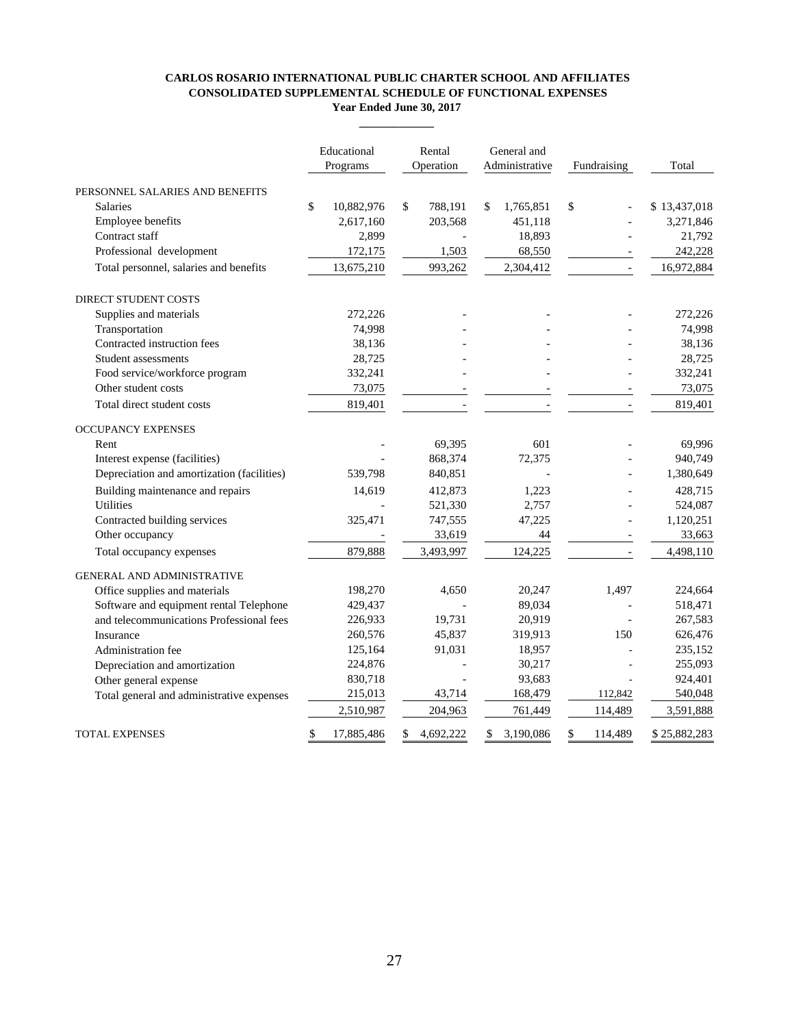#### **CARLOS ROSARIO INTERNATIONAL PUBLIC CHARTER SCHOOL AND AFFILIATES CONSOLIDATED SUPPLEMENTAL SCHEDULE OF FUNCTIONAL EXPENSES Year Ended June 30, 2017**

**\_\_\_\_\_\_\_\_\_\_\_\_\_**

|                                            | Educational<br>Programs | Rental<br>Operation | General and<br>Administrative | Fundraising   | Total        |
|--------------------------------------------|-------------------------|---------------------|-------------------------------|---------------|--------------|
| PERSONNEL SALARIES AND BENEFITS            |                         |                     |                               |               |              |
| <b>Salaries</b>                            | \$<br>10,882,976        | \$<br>788,191       | \$<br>1,765,851               | \$            | \$13,437,018 |
| Employee benefits                          | 2,617,160               | 203,568             | 451,118                       |               | 3,271,846    |
| Contract staff                             | 2,899                   |                     | 18,893                        |               | 21,792       |
| Professional development                   | 172,175                 | 1,503               | 68,550                        |               | 242,228      |
| Total personnel, salaries and benefits     | 13,675,210              | 993,262             | 2,304,412                     |               | 16,972,884   |
| <b>DIRECT STUDENT COSTS</b>                |                         |                     |                               |               |              |
| Supplies and materials                     | 272,226                 |                     |                               |               | 272,226      |
| Transportation                             | 74,998                  |                     |                               |               | 74,998       |
| Contracted instruction fees                | 38,136                  |                     |                               |               | 38,136       |
| Student assessments                        | 28,725                  |                     |                               |               | 28,725       |
| Food service/workforce program             | 332,241                 |                     |                               |               | 332,241      |
| Other student costs                        | 73,075                  |                     |                               |               | 73,075       |
| Total direct student costs                 | 819,401                 |                     |                               |               | 819,401      |
| <b>OCCUPANCY EXPENSES</b>                  |                         |                     |                               |               |              |
| Rent                                       |                         | 69,395              | 601                           |               | 69,996       |
| Interest expense (facilities)              |                         | 868,374             | 72,375                        |               | 940,749      |
| Depreciation and amortization (facilities) | 539,798                 | 840,851             |                               |               | 1,380,649    |
| Building maintenance and repairs           | 14,619                  | 412,873             | 1,223                         |               | 428,715      |
| <b>Utilities</b>                           |                         | 521,330             | 2,757                         |               | 524,087      |
| Contracted building services               | 325,471                 | 747,555             | 47,225                        |               | 1,120,251    |
| Other occupancy                            |                         | 33,619              | 44                            |               | 33,663       |
| Total occupancy expenses                   | 879,888                 | 3,493,997           | 124,225                       |               | 4,498,110    |
| <b>GENERAL AND ADMINISTRATIVE</b>          |                         |                     |                               |               |              |
| Office supplies and materials              | 198,270                 | 4,650               | 20,247                        | 1,497         | 224,664      |
| Software and equipment rental Telephone    | 429,437                 |                     | 89,034                        |               | 518,471      |
| and telecommunications Professional fees   | 226,933                 | 19,731              | 20,919                        |               | 267,583      |
| Insurance                                  | 260,576                 | 45,837              | 319,913                       | 150           | 626,476      |
| Administration fee                         | 125,164                 | 91,031              | 18,957                        |               | 235,152      |
| Depreciation and amortization              | 224,876                 |                     | 30,217                        |               | 255,093      |
| Other general expense                      | 830,718                 |                     | 93,683                        |               | 924,401      |
| Total general and administrative expenses  | 215,013                 | 43,714              | 168,479                       | 112,842       | 540,048      |
|                                            | 2,510,987               | 204,963             | 761,449                       | 114,489       | 3,591,888    |
| <b>TOTAL EXPENSES</b>                      | \$<br>17,885,486        | 4,692,222           | \$<br>3,190,086               | \$<br>114,489 | \$25,882,283 |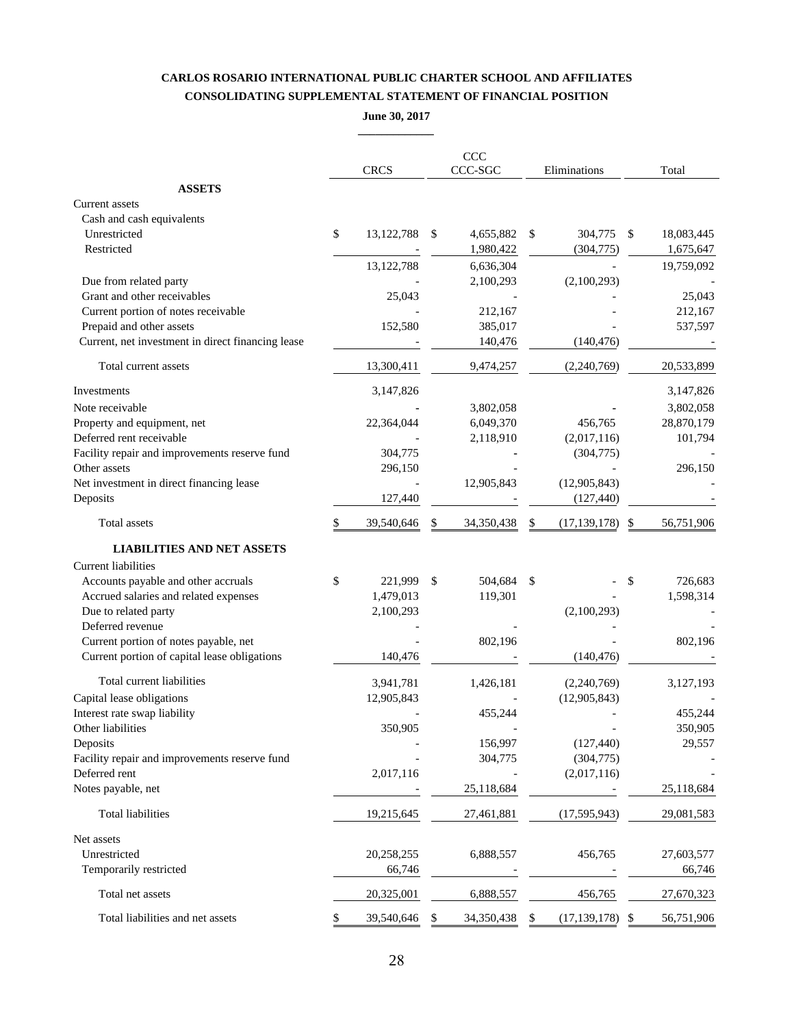### **CARLOS ROSARIO INTERNATIONAL PUBLIC CHARTER SCHOOL AND AFFILIATES CONSOLIDATING SUPPLEMENTAL STATEMENT OF FINANCIAL POSITION**

**June 30, 2017**

|                                                   |                    |    | CCC        |                      |                  |
|---------------------------------------------------|--------------------|----|------------|----------------------|------------------|
|                                                   | <b>CRCS</b>        |    | CCC-SGC    | Eliminations         | Total            |
| <b>ASSETS</b>                                     |                    |    |            |                      |                  |
| Current assets                                    |                    |    |            |                      |                  |
| Cash and cash equivalents                         |                    |    |            |                      |                  |
| Unrestricted                                      | \$<br>13, 122, 788 | \$ | 4,655,882  | \$<br>304,775        | \$<br>18,083,445 |
| Restricted                                        |                    |    | 1,980,422  | (304, 775)           | 1,675,647        |
|                                                   | 13, 122, 788       |    | 6,636,304  |                      | 19,759,092       |
| Due from related party                            |                    |    | 2,100,293  | (2,100,293)          |                  |
| Grant and other receivables                       | 25,043             |    |            |                      | 25,043           |
| Current portion of notes receivable               |                    |    | 212,167    |                      | 212,167          |
| Prepaid and other assets                          | 152,580            |    | 385,017    |                      | 537,597          |
| Current, net investment in direct financing lease |                    |    | 140,476    | (140, 476)           |                  |
| Total current assets                              | 13,300,411         |    | 9,474,257  | (2,240,769)          | 20,533,899       |
| Investments                                       | 3,147,826          |    |            |                      | 3,147,826        |
| Note receivable                                   |                    |    | 3,802,058  |                      | 3,802,058        |
| Property and equipment, net                       | 22,364,044         |    | 6,049,370  | 456,765              | 28,870,179       |
| Deferred rent receivable                          |                    |    | 2,118,910  | (2,017,116)          | 101,794          |
| Facility repair and improvements reserve fund     | 304,775            |    |            | (304, 775)           |                  |
| Other assets                                      | 296,150            |    |            |                      | 296,150          |
| Net investment in direct financing lease          |                    |    | 12,905,843 | (12,905,843)         |                  |
| Deposits                                          | 127,440            |    |            | (127, 440)           |                  |
| Total assets                                      | \$<br>39,540,646   | S  | 34,350,438 | (17, 139, 178)       | \$<br>56,751,906 |
| <b>LIABILITIES AND NET ASSETS</b>                 |                    |    |            |                      |                  |
| <b>Current liabilities</b>                        |                    |    |            |                      |                  |
| Accounts payable and other accruals               | \$<br>221,999      | \$ | 504,684    | \$                   | \$<br>726,683    |
| Accrued salaries and related expenses             | 1,479,013          |    | 119,301    |                      | 1,598,314        |
| Due to related party                              | 2,100,293          |    |            | (2,100,293)          |                  |
| Deferred revenue                                  |                    |    |            |                      |                  |
| Current portion of notes payable, net             |                    |    | 802,196    |                      | 802,196          |
| Current portion of capital lease obligations      | 140,476            |    |            | (140, 476)           |                  |
| Total current liabilities                         | 3,941,781          |    | 1,426,181  | (2,240,769)          | 3,127,193        |
| Capital lease obligations                         | 12,905,843         |    |            | (12,905,843)         |                  |
| Interest rate swap liability                      |                    |    | 455,244    |                      | 455,244          |
| Other liabilities                                 | 350,905            |    |            |                      | 350,905          |
| Deposits                                          |                    |    | 156,997    | (127, 440)           | 29,557           |
| Facility repair and improvements reserve fund     |                    |    | 304,775    | (304, 775)           |                  |
| Deferred rent                                     | 2,017,116          |    |            | (2,017,116)          |                  |
| Notes payable, net                                |                    |    | 25,118,684 |                      | 25,118,684       |
| Total liabilities                                 | 19,215,645         |    | 27,461,881 | (17,595,943)         | 29,081,583       |
| Net assets                                        |                    |    |            |                      |                  |
| Unrestricted                                      | 20,258,255         |    | 6,888,557  | 456,765              | 27,603,577       |
| Temporarily restricted                            | 66,746             |    |            |                      | 66,746           |
| Total net assets                                  | 20,325,001         |    | 6,888,557  | 456,765              | 27,670,323       |
| Total liabilities and net assets                  | \$<br>39,540,646   | \$ | 34,350,438 | \$<br>(17, 139, 178) | \$<br>56,751,906 |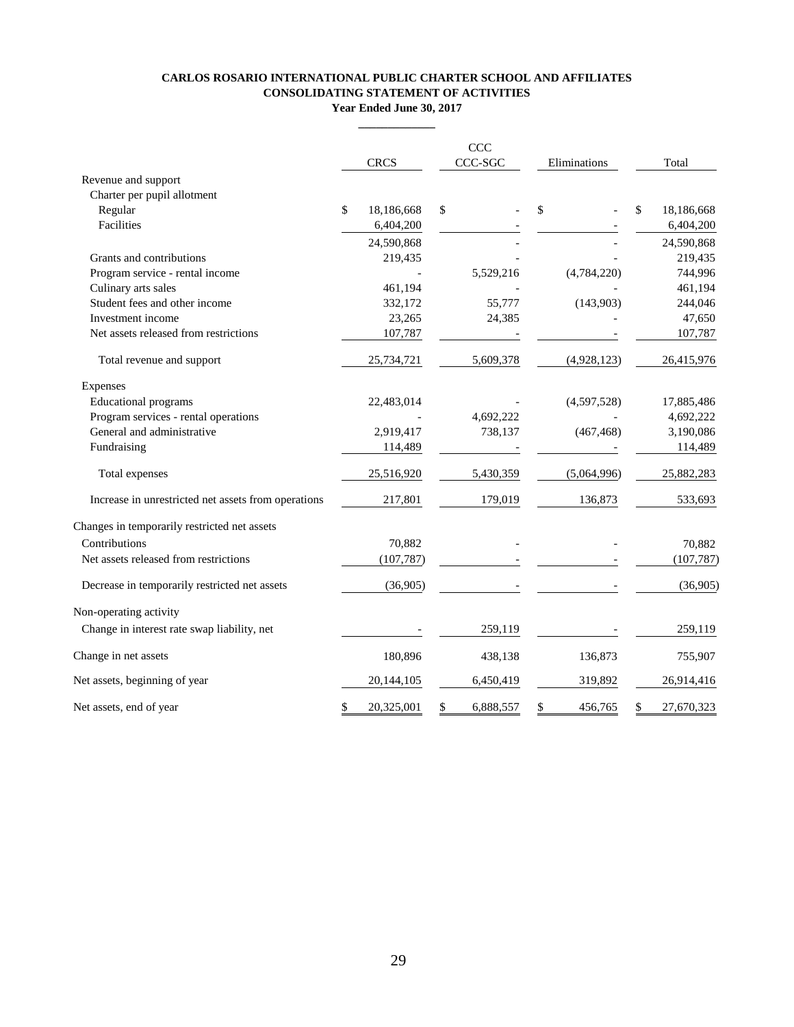#### **CARLOS ROSARIO INTERNATIONAL PUBLIC CHARTER SCHOOL AND AFFILIATES CONSOLIDATING STATEMENT OF ACTIVITIES Year Ended June 30, 2017**

**\_\_\_\_\_\_\_\_\_\_\_\_\_**

|                                                     |                  | CCC             |               |                  |
|-----------------------------------------------------|------------------|-----------------|---------------|------------------|
|                                                     | <b>CRCS</b>      | CCC-SGC         | Eliminations  | Total            |
| Revenue and support                                 |                  |                 |               |                  |
| Charter per pupil allotment                         |                  |                 |               |                  |
| Regular                                             | \$<br>18,186,668 | \$              | \$            | \$<br>18,186,668 |
| Facilities                                          | 6,404,200        |                 |               | 6,404,200        |
|                                                     | 24,590,868       |                 |               | 24,590,868       |
| Grants and contributions                            | 219,435          |                 |               | 219,435          |
| Program service - rental income                     |                  | 5,529,216       | (4,784,220)   | 744,996          |
| Culinary arts sales                                 | 461,194          |                 |               | 461,194          |
| Student fees and other income                       | 332,172          | 55,777          | (143,903)     | 244,046          |
| Investment income                                   | 23,265           | 24,385          |               | 47,650           |
| Net assets released from restrictions               | 107,787          |                 |               | 107,787          |
| Total revenue and support                           | 25,734,721       | 5,609,378       | (4,928,123)   | 26,415,976       |
| Expenses                                            |                  |                 |               |                  |
| <b>Educational</b> programs                         | 22,483,014       |                 | (4,597,528)   | 17,885,486       |
| Program services - rental operations                |                  | 4,692,222       |               | 4,692,222        |
| General and administrative                          | 2,919,417        | 738,137         | (467, 468)    | 3,190,086        |
| Fundraising                                         | 114,489          |                 |               | 114,489          |
| Total expenses                                      | 25,516,920       | 5,430,359       | (5,064,996)   | 25,882,283       |
| Increase in unrestricted net assets from operations | 217,801          | 179,019         | 136,873       | 533,693          |
| Changes in temporarily restricted net assets        |                  |                 |               |                  |
| Contributions                                       | 70,882           |                 |               | 70,882           |
| Net assets released from restrictions               | (107, 787)       |                 |               | (107, 787)       |
| Decrease in temporarily restricted net assets       | (36,905)         |                 |               | (36,905)         |
| Non-operating activity                              |                  |                 |               |                  |
| Change in interest rate swap liability, net         |                  | 259,119         |               | 259,119          |
| Change in net assets                                | 180,896          | 438,138         | 136,873       | 755,907          |
| Net assets, beginning of year                       | 20,144,105       | 6,450,419       | 319,892       | 26,914,416       |
| Net assets, end of year                             | \$<br>20,325,001 | \$<br>6,888,557 | \$<br>456,765 | \$<br>27,670,323 |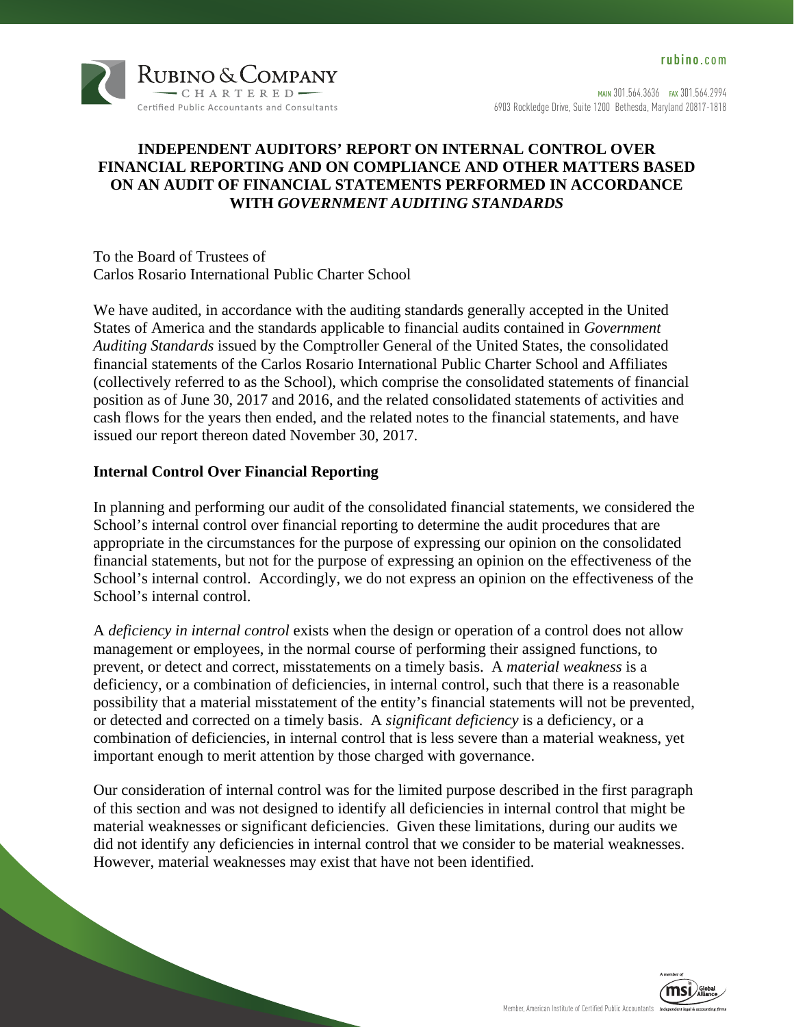

## **INDEPENDENT AUDITORS' REPORT ON INTERNAL CONTROL OVER FINANCIAL REPORTING AND ON COMPLIANCE AND OTHER MATTERS BASED ON AN AUDIT OF FINANCIAL STATEMENTS PERFORMED IN ACCORDANCE WITH** *GOVERNMENT AUDITING STANDARDS*

To the Board of Trustees of Carlos Rosario International Public Charter School

We have audited, in accordance with the auditing standards generally accepted in the United States of America and the standards applicable to financial audits contained in *Government Auditing Standards* issued by the Comptroller General of the United States, the consolidated financial statements of the Carlos Rosario International Public Charter School and Affiliates (collectively referred to as the School), which comprise the consolidated statements of financial position as of June 30, 2017 and 2016, and the related consolidated statements of activities and cash flows for the years then ended, and the related notes to the financial statements, and have issued our report thereon dated November 30, 2017.

## **Internal Control Over Financial Reporting**

In planning and performing our audit of the consolidated financial statements, we considered the School's internal control over financial reporting to determine the audit procedures that are appropriate in the circumstances for the purpose of expressing our opinion on the consolidated financial statements, but not for the purpose of expressing an opinion on the effectiveness of the School's internal control. Accordingly, we do not express an opinion on the effectiveness of the School's internal control.

A *deficiency in internal control* exists when the design or operation of a control does not allow management or employees, in the normal course of performing their assigned functions, to prevent, or detect and correct, misstatements on a timely basis. A *material weakness* is a deficiency, or a combination of deficiencies, in internal control, such that there is a reasonable possibility that a material misstatement of the entity's financial statements will not be prevented, or detected and corrected on a timely basis. A *significant deficiency* is a deficiency, or a combination of deficiencies, in internal control that is less severe than a material weakness, yet important enough to merit attention by those charged with governance.

Our consideration of internal control was for the limited purpose described in the first paragraph of this section and was not designed to identify all deficiencies in internal control that might be material weaknesses or significant deficiencies. Given these limitations, during our audits we did not identify any deficiencies in internal control that we consider to be material weaknesses. However, material weaknesses may exist that have not been identified.

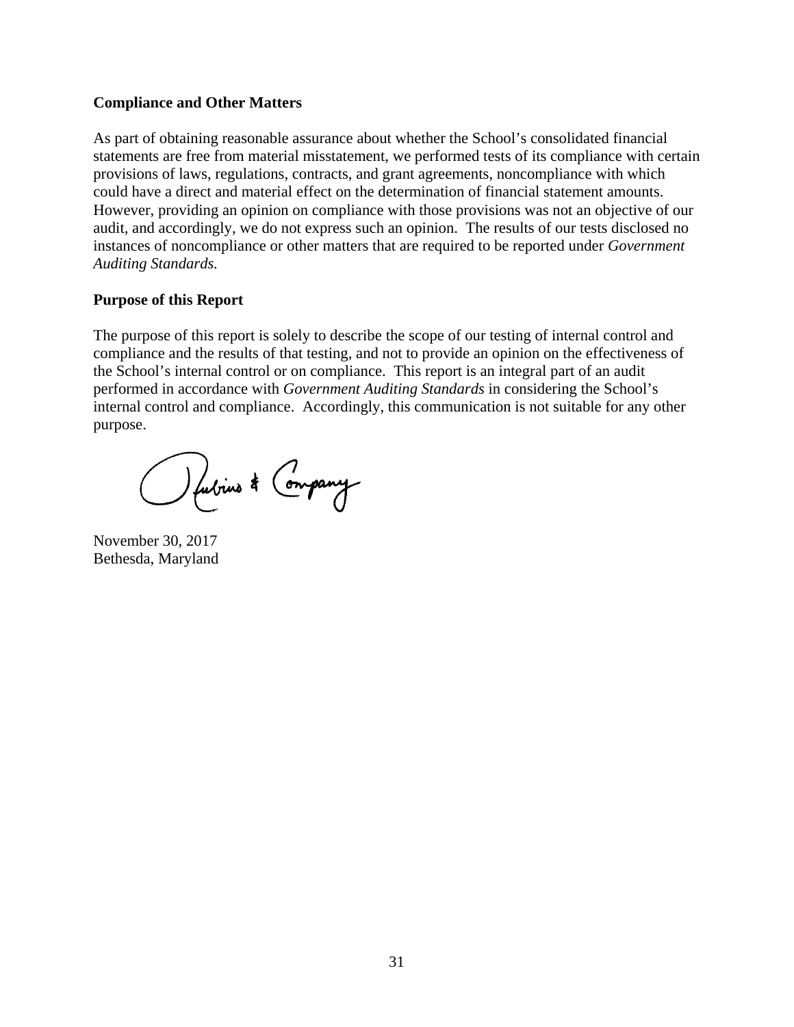## **Compliance and Other Matters**

As part of obtaining reasonable assurance about whether the School's consolidated financial statements are free from material misstatement, we performed tests of its compliance with certain provisions of laws, regulations, contracts, and grant agreements, noncompliance with which could have a direct and material effect on the determination of financial statement amounts. However, providing an opinion on compliance with those provisions was not an objective of our audit, and accordingly, we do not express such an opinion. The results of our tests disclosed no instances of noncompliance or other matters that are required to be reported under *Government Auditing Standards.* 

## **Purpose of this Report**

The purpose of this report is solely to describe the scope of our testing of internal control and compliance and the results of that testing, and not to provide an opinion on the effectiveness of the School's internal control or on compliance. This report is an integral part of an audit performed in accordance with *Government Auditing Standards* in considering the School's internal control and compliance. Accordingly, this communication is not suitable for any other purpose.

Sentino & Company

November 30, 2017 Bethesda, Maryland